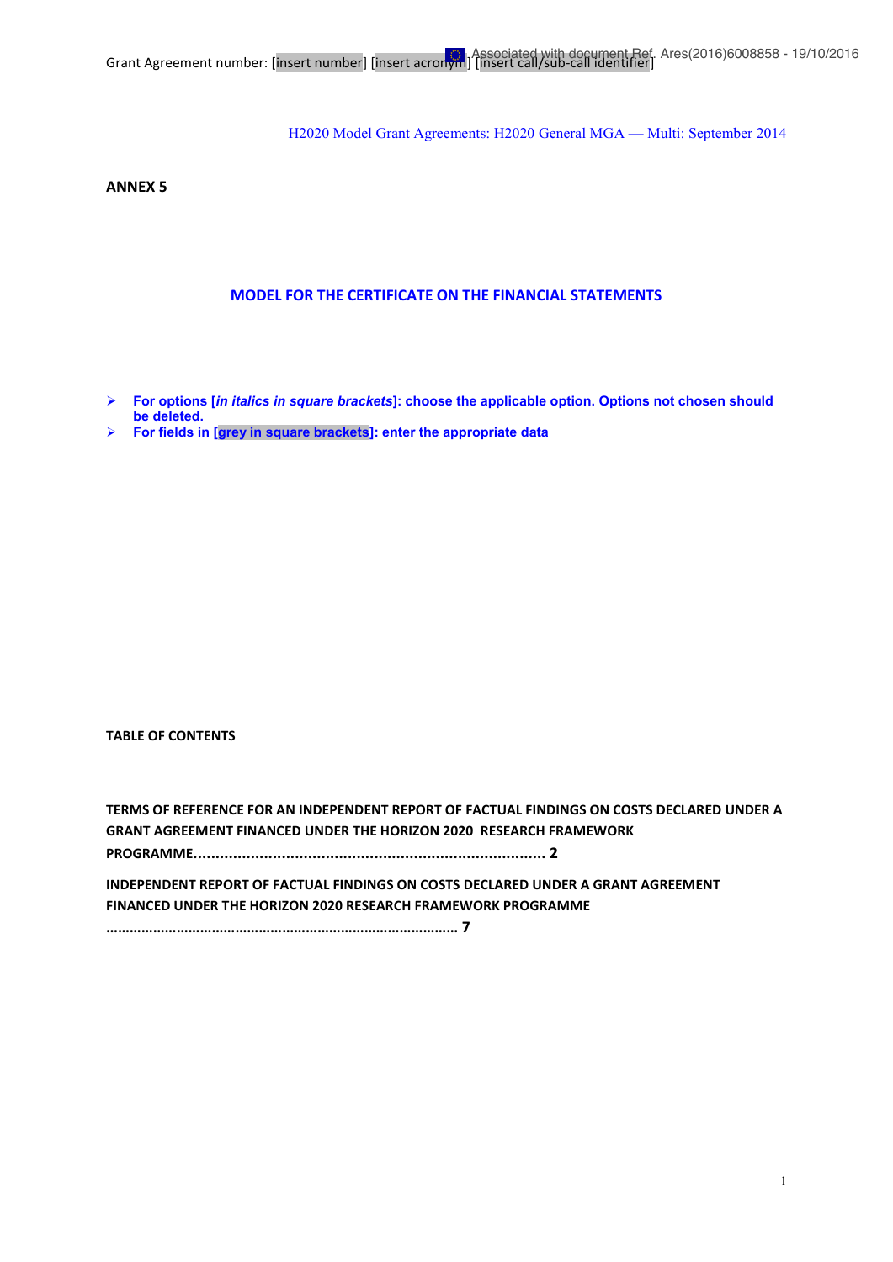**ANNEX 5**

#### **MODEL FOR THE CERTIFICATE ON THE FINANCIAL STATEMENTS**

- ¾ **For options [***in italics in square brackets***]: choose the applicable option. Options not chosen should be deleted.**
- ¾ **For fields in [grey in square brackets]: enter the appropriate data**

**TABLE OF CONTENTS**

| TERMS OF REFERENCE FOR AN INDEPENDENT REPORT OF FACTUAL FINDINGS ON COSTS DECLARED UNDER A |  |
|--------------------------------------------------------------------------------------------|--|
| GRANT AGREEMENT FINANCED UNDER THE HORIZON 2020 RESEARCH FRAMEWORK                         |  |
|                                                                                            |  |
| INDEPENDENT REPORT OF FACTUAL FINDINGS ON COSTS DECLARED UNDER A GRANT AGREEMENT           |  |
| FINANCED UNDER THE HORIZON 2020 RESEARCH FRAMEWORK PROGRAMME                               |  |
|                                                                                            |  |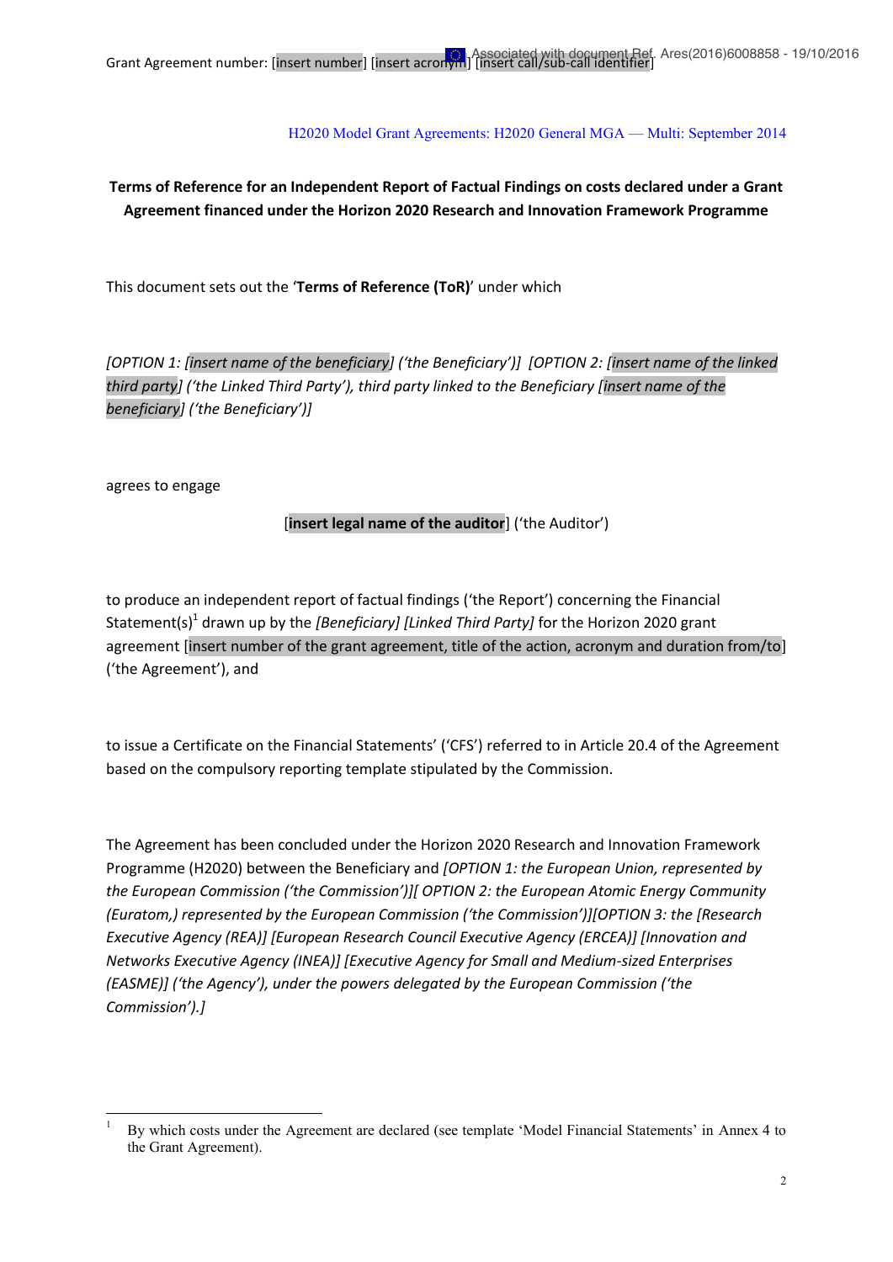# **Terms of Reference for an Independent Report of Factual Findings on costs declared under a Grant Agreement financed under the Horizon 2020 Research and Innovation Framework Programme**

This document sets out the '**Terms of Reference (ToR)**' under which

*[OPTION 1: [insert name of the beneficiary] ('the Beneficiary')] [OPTION 2: [insert name of the linked third party] ('the Linked Third Party'), third party linked to the Beneficiary [insert name of the beneficiary] ('the Beneficiary')]*

agrees to engage

### [**insert legal name of the auditor**] ('the Auditor')

to produce an independent report of factual findings ('the Report') concerning the Financial Statement(s)1 drawn up by the *[Beneficiary] [Linked Third Party]* for the Horizon 2020 grant agreement [insert number of the grant agreement, title of the action, acronym and duration from/to] ('the Agreement'), and

to issue a Certificate on the Financial Statements' ('CFS') referred to in Article 20.4 of the Agreement based on the compulsory reporting template stipulated by the Commission.

The Agreement has been concluded under the Horizon 2020 Research and Innovation Framework Programme (H2020) between the Beneficiary and *[OPTION 1: the European Union, represented by the European Commission ('the Commission')][ OPTION 2: the European Atomic Energy Community (Euratom,) represented by the European Commission ('the Commission')][OPTION 3: the [Research Executive Agency (REA)] [European Research Council Executive Agency (ERCEA)] [Innovation and Networks Executive Agency (INEA)] [Executive Agency for Small and Medium-sized Enterprises (EASME)] ('the Agency'), under the powers delegated by the European Commission ('the Commission').]*

<sup>1</sup> By which costs under the Agreement are declared (see template 'Model Financial Statements' in Annex 4 to the Grant Agreement).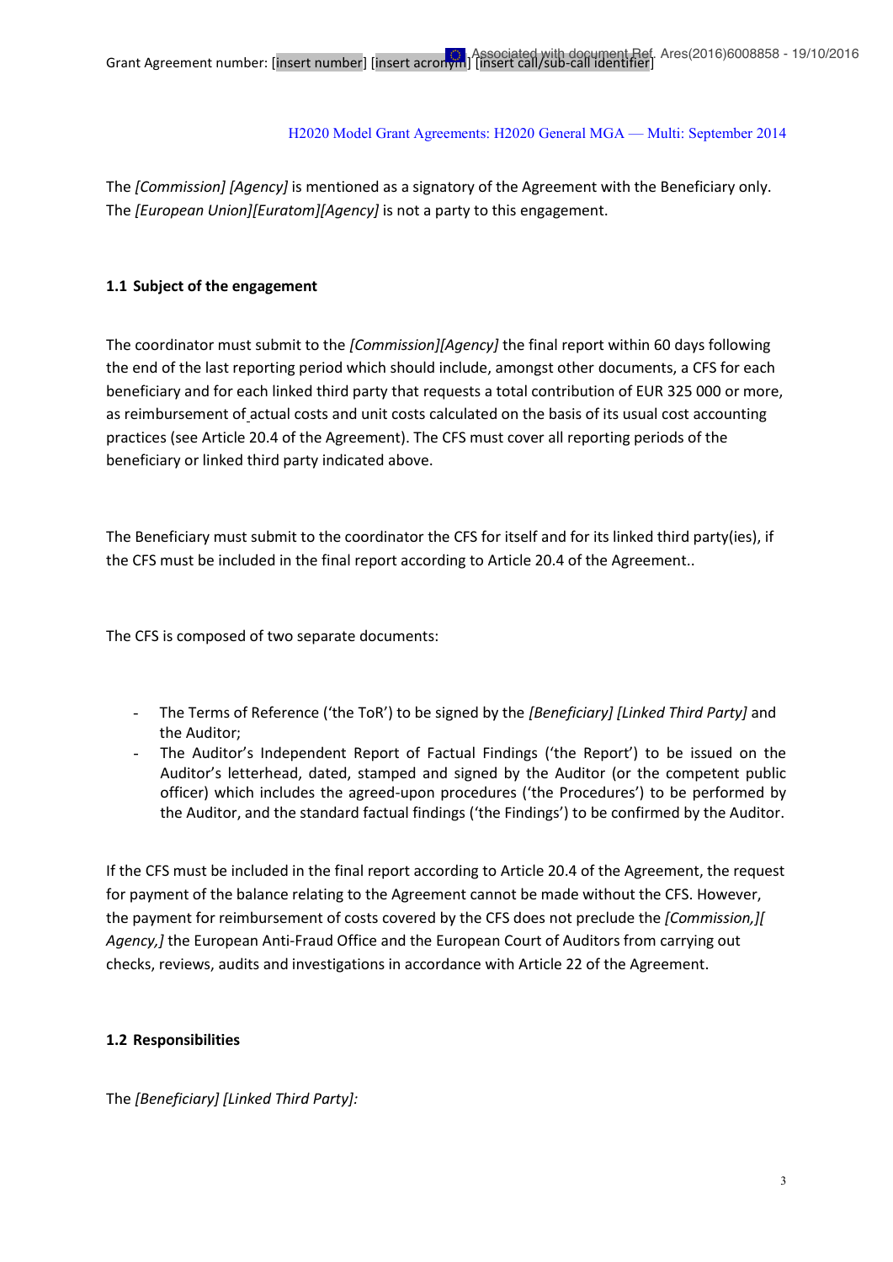The *[Commission] [Agency]* is mentioned as a signatory of the Agreement with the Beneficiary only. The *[European Union][Euratom][Agency]* is not a party to this engagement.

### **1.1 Subject of the engagement**

The coordinator must submit to the *[Commission][Agency]* the final report within 60 days following the end of the last reporting period which should include, amongst other documents, a CFS for each beneficiary and for each linked third party that requests a total contribution of EUR 325 000 or more, as reimbursement of actual costs and unit costs calculated on the basis of its usual cost accounting practices (see Article 20.4 of the Agreement). The CFS must cover all reporting periods of the beneficiary or linked third party indicated above.

The Beneficiary must submit to the coordinator the CFS for itself and for its linked third party(ies), if the CFS must be included in the final report according to Article 20.4 of the Agreement..

The CFS is composed of two separate documents:

- The Terms of Reference ('the ToR') to be signed by the *[Beneficiary] [Linked Third Party]* and the Auditor;
- The Auditor's Independent Report of Factual Findings ('the Report') to be issued on the Auditor's letterhead, dated, stamped and signed by the Auditor (or the competent public officer) which includes the agreed-upon procedures ('the Procedures') to be performed by the Auditor, and the standard factual findings ('the Findings') to be confirmed by the Auditor.

If the CFS must be included in the final report according to Article 20.4 of the Agreement, the request for payment of the balance relating to the Agreement cannot be made without the CFS. However, the payment for reimbursement of costs covered by the CFS does not preclude the *[Commission,][ Agency,]* the European Anti-Fraud Office and the European Court of Auditors from carrying out checks, reviews, audits and investigations in accordance with Article 22 of the Agreement.

### **1.2 Responsibilities**

The *[Beneficiary] [Linked Third Party]:*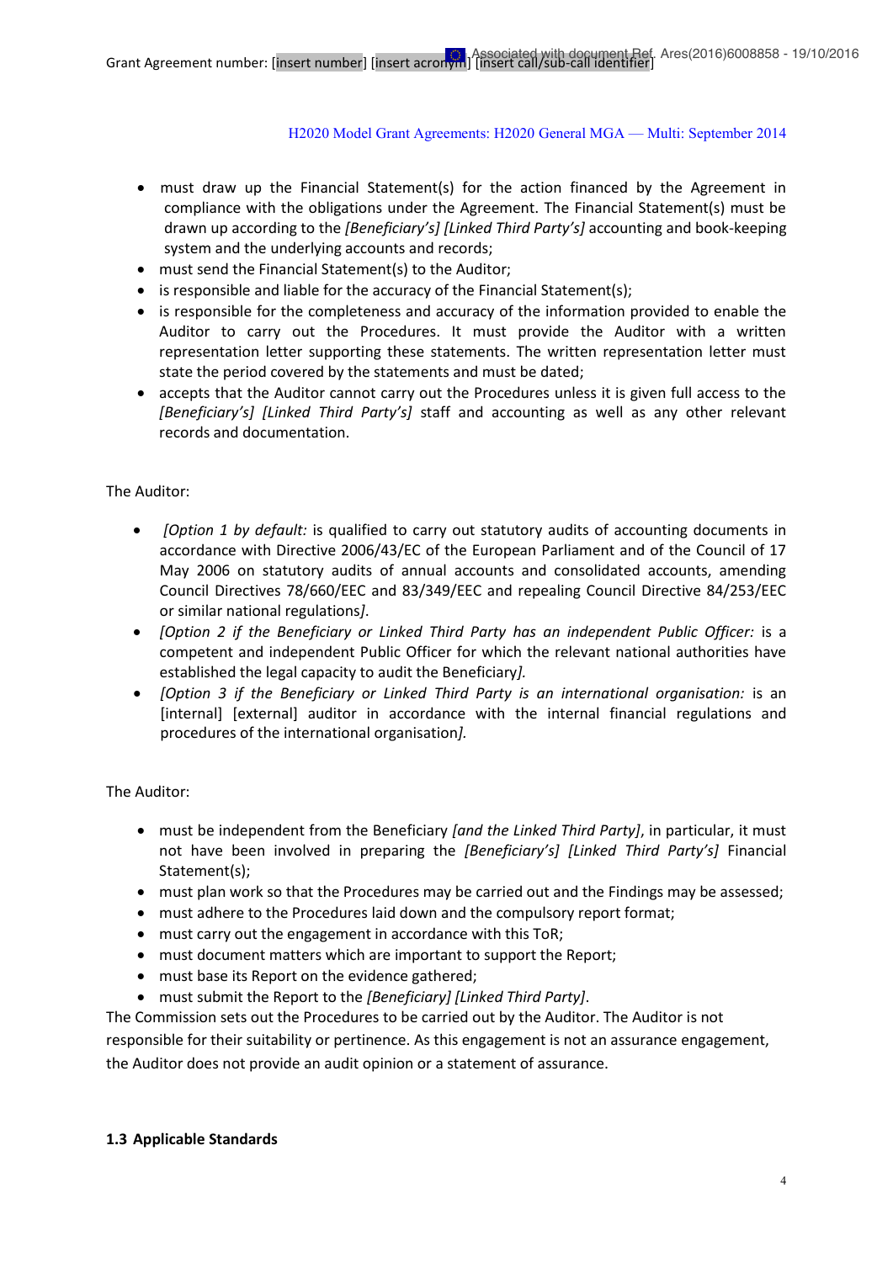- must draw up the Financial Statement(s) for the action financed by the Agreement in compliance with the obligations under the Agreement. The Financial Statement(s) must be drawn up according to the *[Beneficiary's] [Linked Third Party's]* accounting and book-keeping system and the underlying accounts and records;
- must send the Financial Statement(s) to the Auditor;
- $\bullet$  is responsible and liable for the accuracy of the Financial Statement(s);
- is responsible for the completeness and accuracy of the information provided to enable the Auditor to carry out the Procedures. It must provide the Auditor with a written representation letter supporting these statements. The written representation letter must state the period covered by the statements and must be dated;
- accepts that the Auditor cannot carry out the Procedures unless it is given full access to the *[Beneficiary's] [Linked Third Party's]* staff and accounting as well as any other relevant records and documentation.

### The Auditor:

- *[Option 1 by default:* is qualified to carry out statutory audits of accounting documents in accordance with Directive 2006/43/EC of the European Parliament and of the Council of 17 May 2006 on statutory audits of annual accounts and consolidated accounts, amending Council Directives 78/660/EEC and 83/349/EEC and repealing Council Directive 84/253/EEC or similar national regulations*]*.
- x *[Option 2 if the Beneficiary or Linked Third Party has an independent Public Officer:* is a competent and independent Public Officer for which the relevant national authorities have established the legal capacity to audit the Beneficiary*].*
- x *[Option 3 if the Beneficiary or Linked Third Party is an international organisation:* is an [internal] [external] auditor in accordance with the internal financial regulations and procedures of the international organisation*].*

The Auditor:

- x must be independent from the Beneficiary *[and the Linked Third Party]*, in particular, it must not have been involved in preparing the *[Beneficiary's] [Linked Third Party's]* Financial Statement(s);
- must plan work so that the Procedures may be carried out and the Findings may be assessed;
- must adhere to the Procedures laid down and the compulsory report format;
- must carry out the engagement in accordance with this ToR;
- must document matters which are important to support the Report;
- must base its Report on the evidence gathered;
- x must submit the Report to the *[Beneficiary] [Linked Third Party]*.

The Commission sets out the Procedures to be carried out by the Auditor. The Auditor is not responsible for their suitability or pertinence. As this engagement is not an assurance engagement, the Auditor does not provide an audit opinion or a statement of assurance.

### **1.3 Applicable Standards**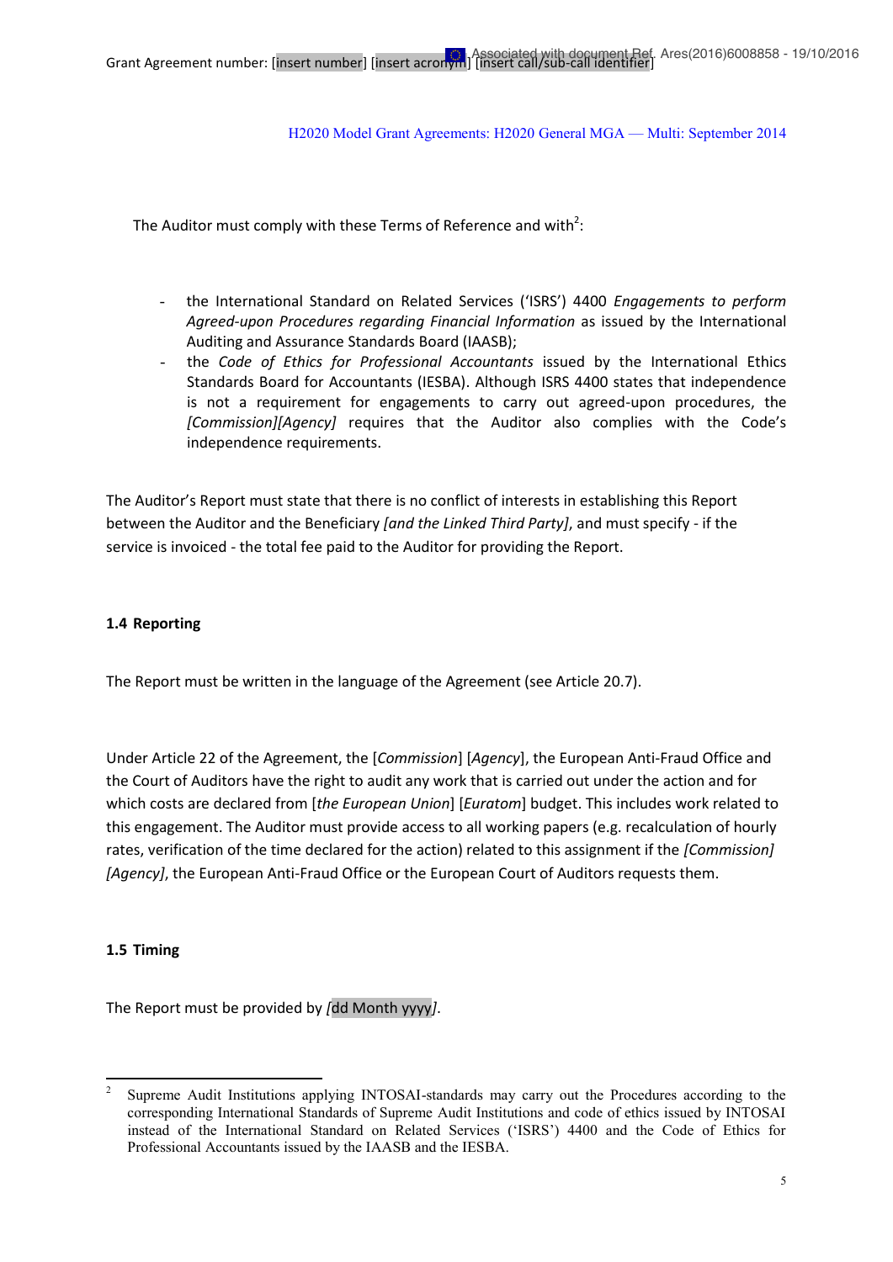The Auditor must comply with these Terms of Reference and with<sup>2</sup>:

- the International Standard on Related Services ('ISRS') 4400 *Engagements to perform Agreed-upon Procedures regarding Financial Information* as issued by the International Auditing and Assurance Standards Board (IAASB);
- the *Code of Ethics for Professional Accountants* issued by the International Ethics Standards Board for Accountants (IESBA). Although ISRS 4400 states that independence is not a requirement for engagements to carry out agreed-upon procedures, the *[Commission][Agency]* requires that the Auditor also complies with the Code's independence requirements.

The Auditor's Report must state that there is no conflict of interests in establishing this Report between the Auditor and the Beneficiary *[and the Linked Third Party]*, and must specify - if the service is invoiced - the total fee paid to the Auditor for providing the Report.

#### **1.4 Reporting**

The Report must be written in the language of the Agreement (see Article 20.7).

Under Article 22 of the Agreement, the [*Commission*] [*Agency*], the European Anti-Fraud Office and the Court of Auditors have the right to audit any work that is carried out under the action and for which costs are declared from [*the European Union*] [*Euratom*] budget. This includes work related to this engagement. The Auditor must provide access to all working papers (e.g. recalculation of hourly rates, verification of the time declared for the action) related to this assignment if the *[Commission] [Agency]*, the European Anti-Fraud Office or the European Court of Auditors requests them.

#### **1.5 Timing**

The Report must be provided by *[*dd Month yyyy*]*.

<sup>2</sup> Supreme Audit Institutions applying INTOSAI-standards may carry out the Procedures according to the corresponding International Standards of Supreme Audit Institutions and code of ethics issued by INTOSAI instead of the International Standard on Related Services ('ISRS') 4400 and the Code of Ethics for Professional Accountants issued by the IAASB and the IESBA.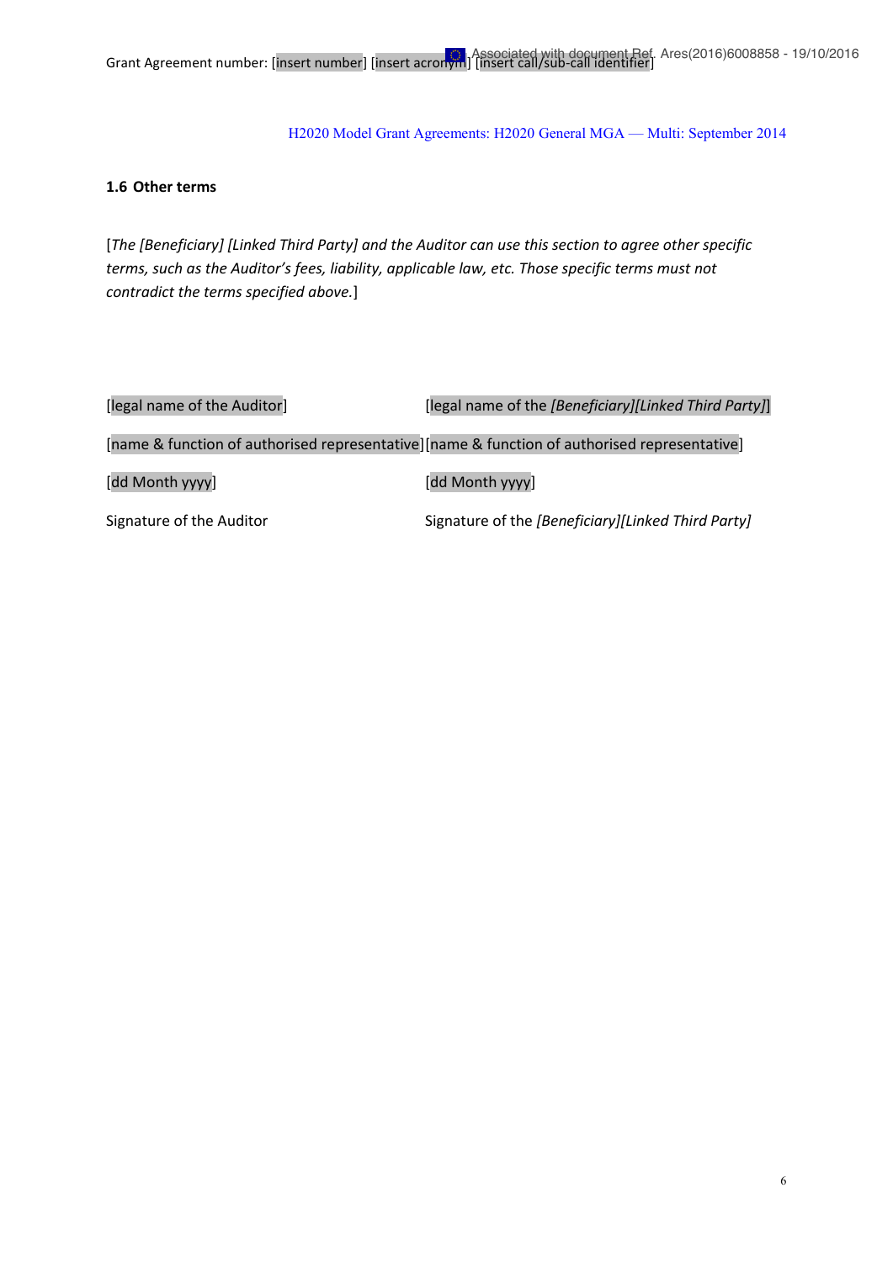#### **1.6 Other terms**

[*The [Beneficiary] [Linked Third Party] and the Auditor can use this section to agree other specific terms, such as the Auditor's fees, liability, applicable law, etc. Those specific terms must not contradict the terms specified above.*]

| [legal name of the Auditor] | [legal name of the [Beneficiary][Linked Third Party]]                                        |
|-----------------------------|----------------------------------------------------------------------------------------------|
|                             | [name & function of authorised representative][name & function of authorised representative] |
| [dd Month yyyy]             | [dd Month yyyy]                                                                              |
| Signature of the Auditor    | Signature of the [Beneficiary][Linked Third Party]                                           |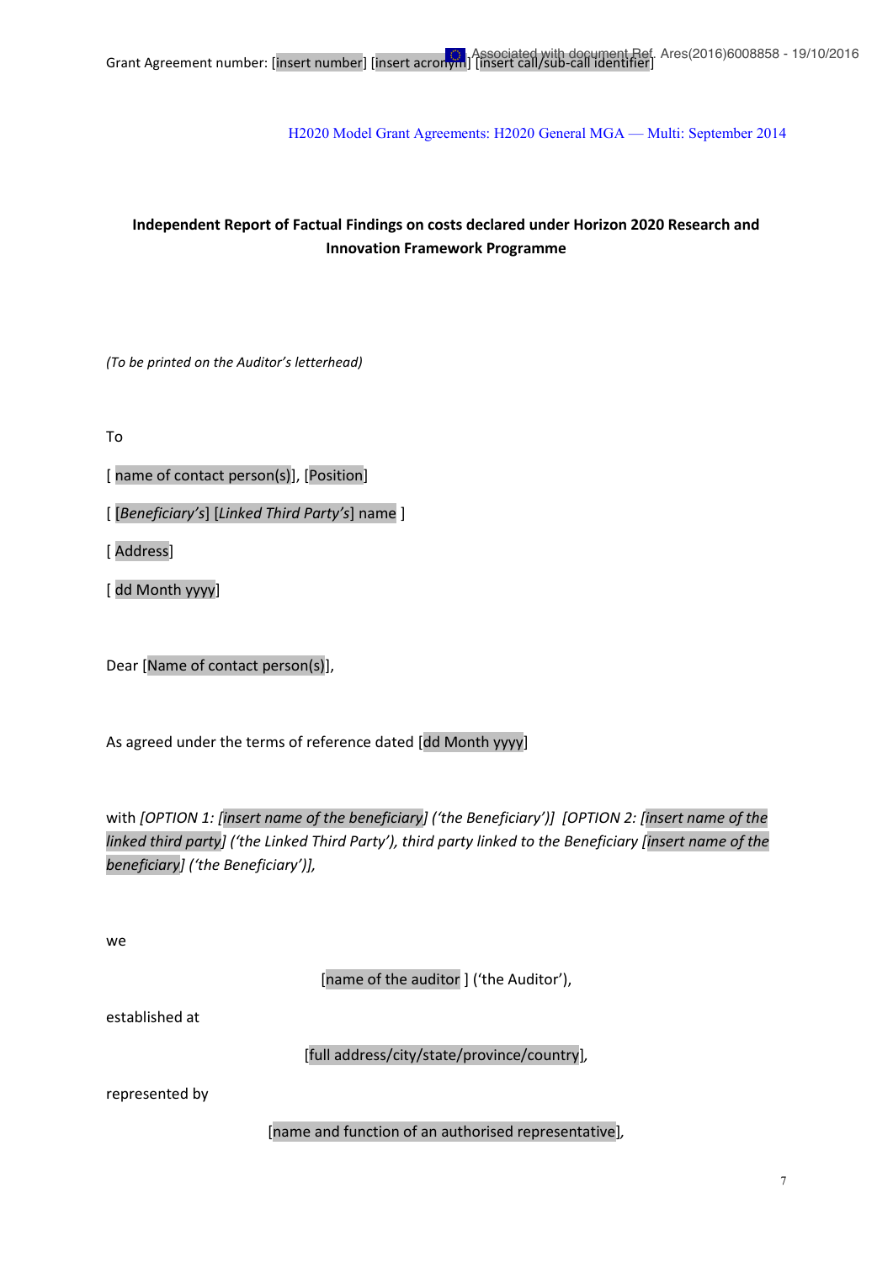# **Independent Report of Factual Findings on costs declared under Horizon 2020 Research and Innovation Framework Programme**

*(To be printed on the Auditor's letterhead)*

To

[ name of contact person(s)], [Position]

[ [*Beneficiary's*] [*Linked Third Party's*] name ]

[ Address]

[ dd Month yyyy]

Dear [Name of contact person(s)],

As agreed under the terms of reference dated [dd Month yyyy]

with *[OPTION 1: [insert name of the beneficiary] ('the Beneficiary')] [OPTION 2: [insert name of the linked third party] ('the Linked Third Party'), third party linked to the Beneficiary [insert name of the beneficiary] ('the Beneficiary')],*

we

[name of the auditor ] ('the Auditor'),

established at

[full address/city/state/province/country]*,*

represented by

[name and function of an authorised representative]*,*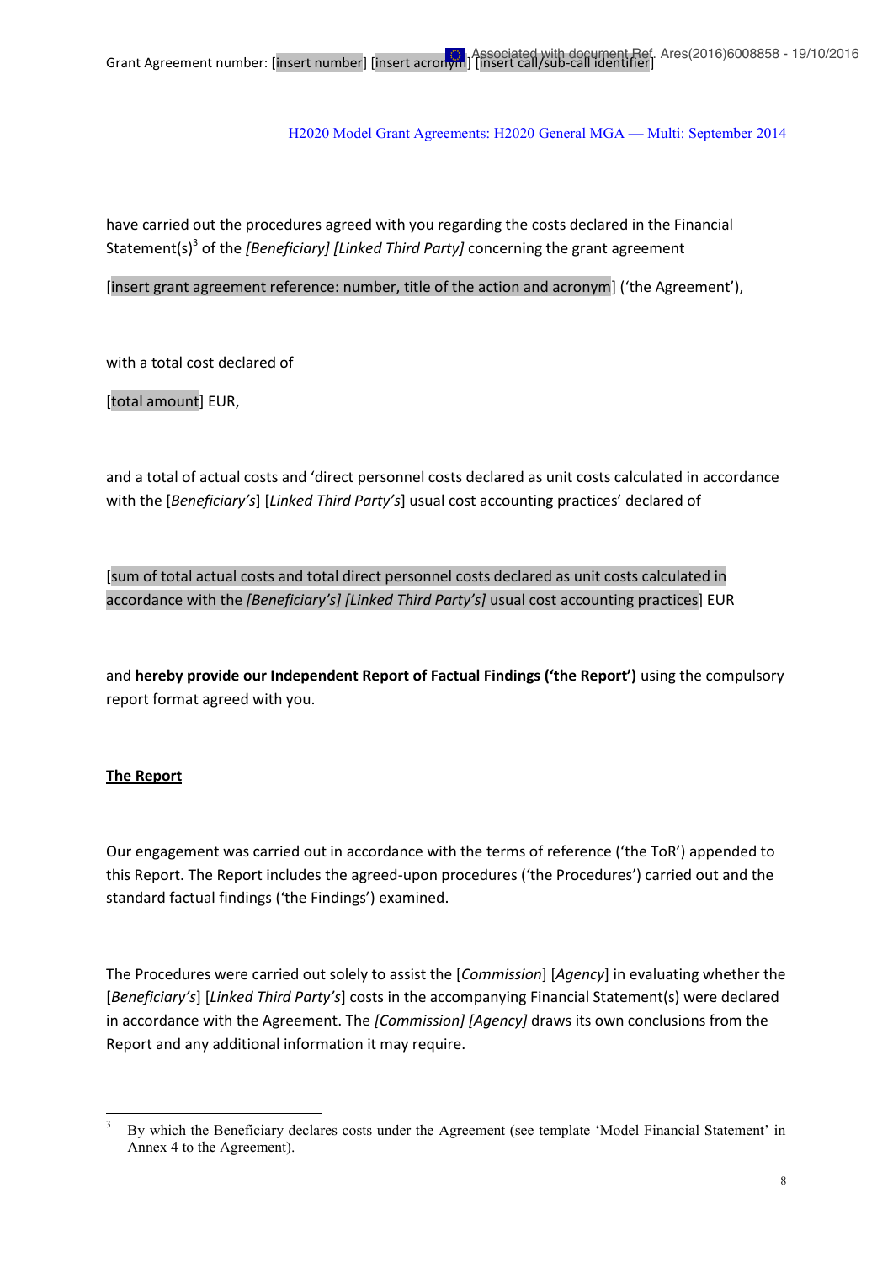have carried out the procedures agreed with you regarding the costs declared in the Financial Statement(s)<sup>3</sup> of the *[Beneficiary] [Linked Third Party]* concerning the grant agreement

[insert grant agreement reference: number, title of the action and acronym] ('the Agreement'),

with a total cost declared of

[total amount] EUR,

and a total of actual costs and 'direct personnel costs declared as unit costs calculated in accordance with the [*Beneficiary's*] [*Linked Third Party's*] usual cost accounting practices' declared of

[sum of total actual costs and total direct personnel costs declared as unit costs calculated in accordance with the *[Beneficiary's] [Linked Third Party's]* usual cost accounting practices] EUR

and **hereby provide our Independent Report of Factual Findings ('the Report')** using the compulsory report format agreed with you.

## **The Report**

Our engagement was carried out in accordance with the terms of reference ('the ToR') appended to this Report. The Report includes the agreed-upon procedures ('the Procedures') carried out and the standard factual findings ('the Findings') examined.

The Procedures were carried out solely to assist the [*Commission*] [*Agency*] in evaluating whether the [*Beneficiary's*] [*Linked Third Party's*] costs in the accompanying Financial Statement(s) were declared in accordance with the Agreement. The *[Commission] [Agency]* draws its own conclusions from the Report and any additional information it may require.

<sup>3</sup> By which the Beneficiary declares costs under the Agreement (see template 'Model Financial Statement' in Annex 4 to the Agreement).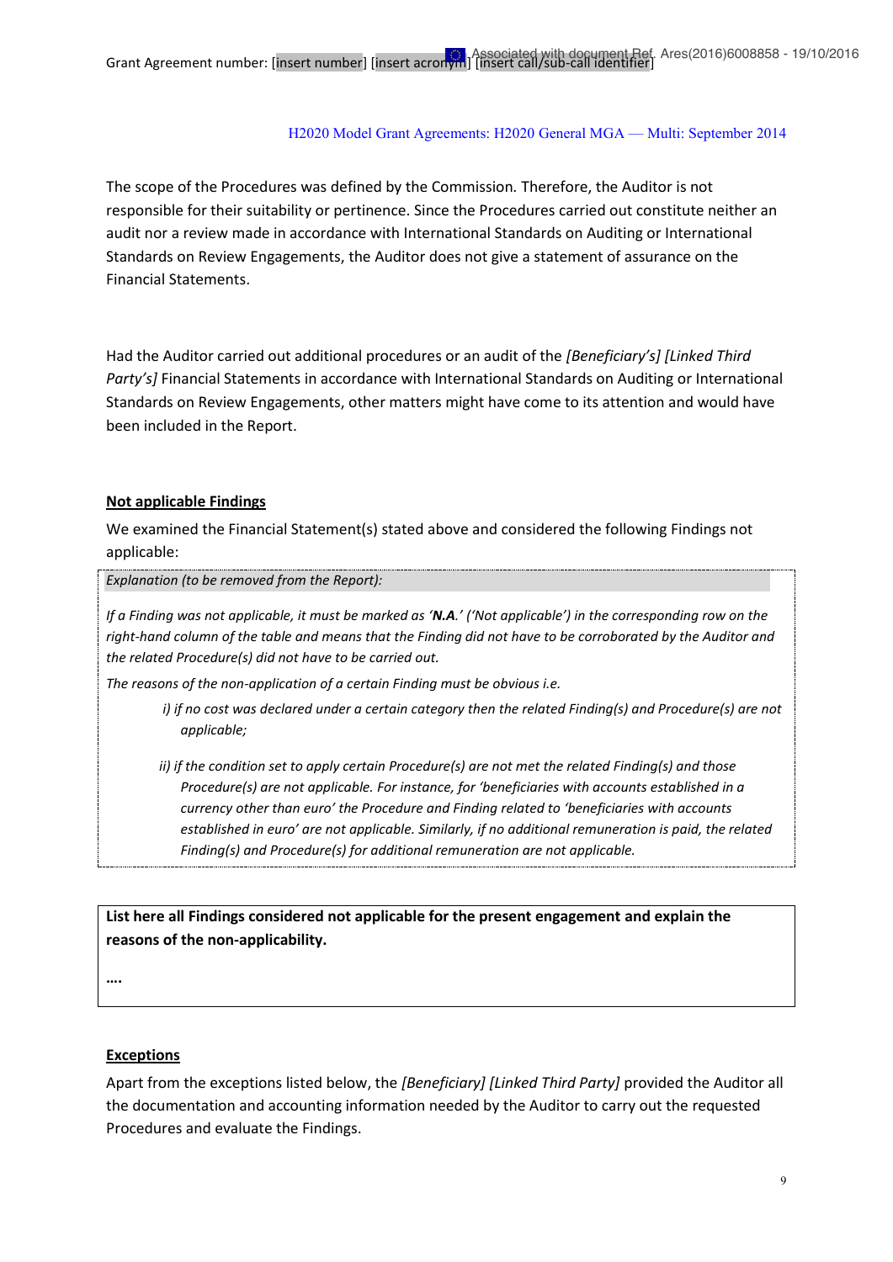The scope of the Procedures was defined by the Commission*.* Therefore, the Auditor is not responsible for their suitability or pertinence. Since the Procedures carried out constitute neither an audit nor a review made in accordance with International Standards on Auditing or International Standards on Review Engagements, the Auditor does not give a statement of assurance on the Financial Statements.

Had the Auditor carried out additional procedures or an audit of the *[Beneficiary's] [Linked Third Party's]* Financial Statements in accordance with International Standards on Auditing or International Standards on Review Engagements, other matters might have come to its attention and would have been included in the Report.

#### **Not applicable Findings**

We examined the Financial Statement(s) stated above and considered the following Findings not applicable:

#### *Explanation (to be removed from the Report):*

*If a Finding was not applicable, it must be marked as 'N.A.' ('Not applicable') in the corresponding row on the right-hand column of the table and means that the Finding did not have to be corroborated by the Auditor and the related Procedure(s) did not have to be carried out.* 

*The reasons of the non-application of a certain Finding must be obvious i.e.* 

- *i) if no cost was declared under a certain category then the related Finding(s) and Procedure(s) are not applicable;*
- *ii) if the condition set to apply certain Procedure(s) are not met the related Finding(s) and those Procedure(s) are not applicable. For instance, for 'beneficiaries with accounts established in a currency other than euro' the Procedure and Finding related to 'beneficiaries with accounts established in euro' are not applicable. Similarly, if no additional remuneration is paid, the related Finding(s) and Procedure(s) for additional remuneration are not applicable.*

**List here all Findings considered not applicable for the present engagement and explain the reasons of the non-applicability.** 

**….**

### **Exceptions**

Apart from the exceptions listed below, the *[Beneficiary] [Linked Third Party]* provided the Auditor all the documentation and accounting information needed by the Auditor to carry out the requested Procedures and evaluate the Findings.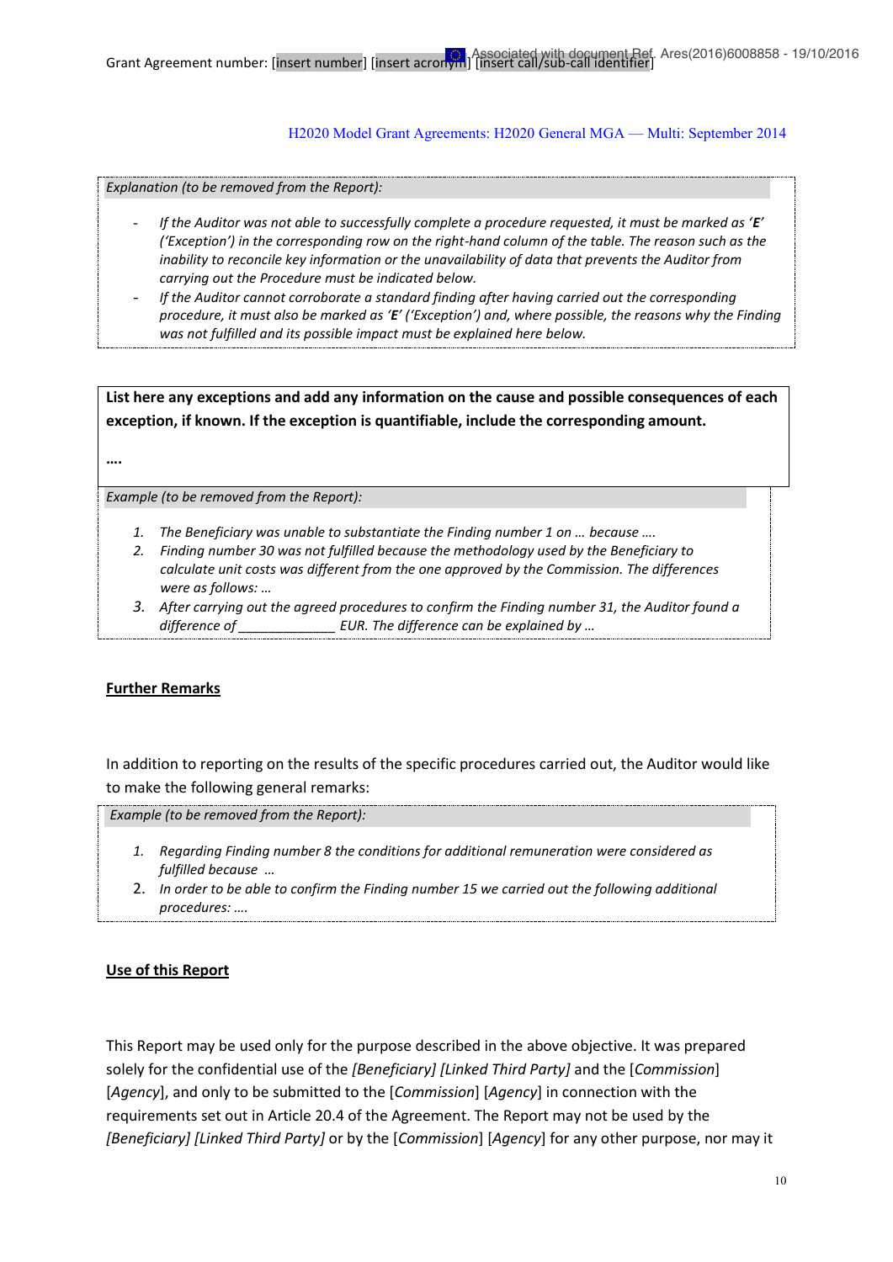*Explanation (to be removed from the Report):*

- *If the Auditor was not able to successfully complete a procedure requested, it must be marked as 'E' ('Exception') in the corresponding row on the right-hand column of the table. The reason such as the inability to reconcile key information or the unavailability of data that prevents the Auditor from carrying out the Procedure must be indicated below.*
- *If the Auditor cannot corroborate a standard finding after having carried out the corresponding procedure, it must also be marked as 'E' ('Exception') and, where possible, the reasons why the Finding was not fulfilled and its possible impact must be explained here below.*

**List here any exceptions and add any information on the cause and possible consequences of each exception, if known. If the exception is quantifiable, include the corresponding amount.**

**….** 

*Example (to be removed from the Report):*

- *1. The Beneficiary was unable to substantiate the Finding number 1 on … because ….*
- *2. Finding number 30 was not fulfilled because the methodology used by the Beneficiary to calculate unit costs was different from the one approved by the Commission. The differences were as follows: …*
- *3. After carrying out the agreed procedures to confirm the Finding number 31, the Auditor found a difference of EUR. The difference can be explained by ...*

### **Further Remarks**

In addition to reporting on the results of the specific procedures carried out, the Auditor would like to make the following general remarks:

*Example (to be removed from the Report):*

- *1. Regarding Finding number 8 the conditions for additional remuneration were considered as fulfilled because …*
- 2. *In order to be able to confirm the Finding number 15 we carried out the following additional procedures: ….*

### **Use of this Report**

This Report may be used only for the purpose described in the above objective. It was prepared solely for the confidential use of the *[Beneficiary] [Linked Third Party]* and the [*Commission*] [*Agency*], and only to be submitted to the [*Commission*] [*Agency*] in connection with the requirements set out in Article 20.4 of the Agreement. The Report may not be used by the *[Beneficiary] [Linked Third Party]* or by the [*Commission*] [*Agency*] for any other purpose, nor may it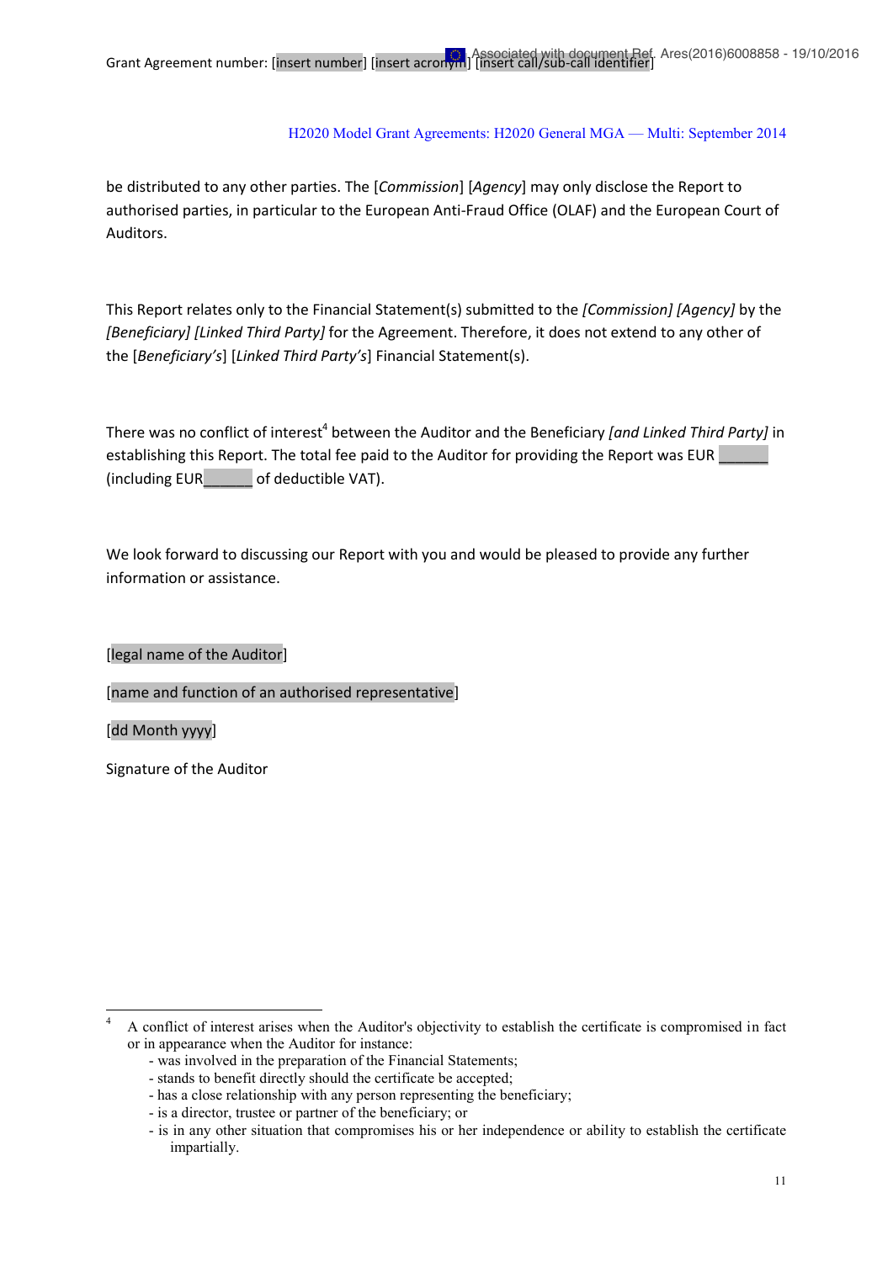be distributed to any other parties. The [*Commission*] [*Agency*] may only disclose the Report to authorised parties, in particular to the European Anti-Fraud Office (OLAF) and the European Court of Auditors.

This Report relates only to the Financial Statement(s) submitted to the *[Commission] [Agency]* by the *[Beneficiary] [Linked Third Party]* for the Agreement. Therefore, it does not extend to any other of the [*Beneficiary's*] [*Linked Third Party's*] Financial Statement(s).

There was no conflict of interest<sup>4</sup> between the Auditor and the Beneficiary *[and Linked Third Party]* in establishing this Report. The total fee paid to the Auditor for providing the Report was EUR (including EUR\_\_\_\_\_\_ of deductible VAT).

We look forward to discussing our Report with you and would be pleased to provide any further information or assistance.

[legal name of the Auditor]

[name and function of an authorised representative]

[dd Month yyyy]

 $\frac{1}{4}$ 

Signature of the Auditor

A conflict of interest arises when the Auditor's objectivity to establish the certificate is compromised in fact or in appearance when the Auditor for instance:

<sup>-</sup> was involved in the preparation of the Financial Statements;

<sup>-</sup> stands to benefit directly should the certificate be accepted;

<sup>-</sup> has a close relationship with any person representing the beneficiary;

<sup>-</sup> is a director, trustee or partner of the beneficiary; or

<sup>-</sup> is in any other situation that compromises his or her independence or ability to establish the certificate impartially.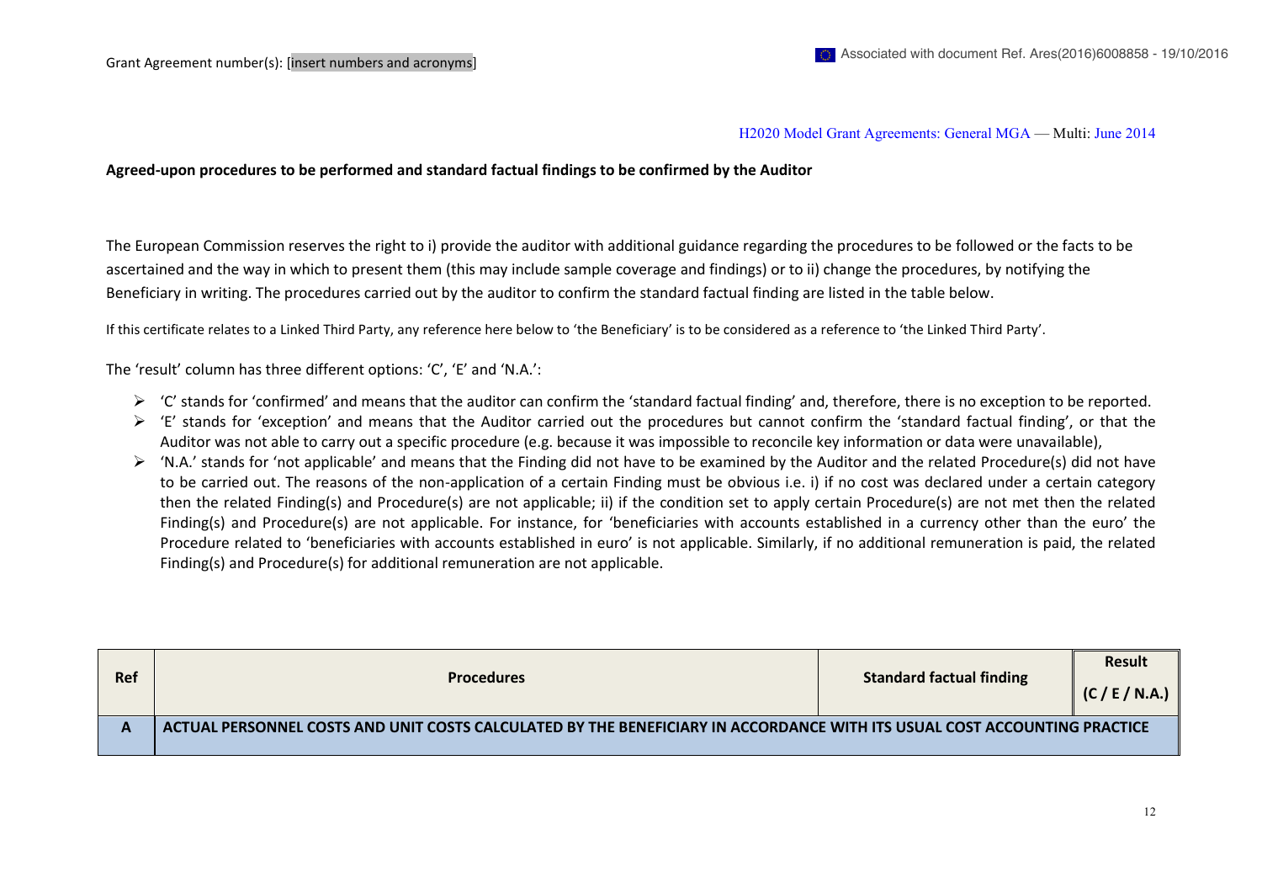#### H2020 Model Grant Agreements: General MGA — Multi: June 2014

**Agreed-upon procedures to be performed and standard factual findings to be confirmed by the Auditor**

The European Commission reserves the right to i) provide the auditor with additional guidance regarding the procedures to be followed or the facts to be ascertained and the way in which to present them (this may include sample coverage and findings) or to ii) change the procedures, by notifying the Beneficiary in writing. The procedures carried out by the auditor to confirm the standard factual finding are listed in the table below.

If this certificate relates to a Linked Third Party, any reference here below to 'the Beneficiary' is to be considered as a reference to 'the Linked Third Party'.

The 'result' column has three different options: 'C', 'E' and 'N.A.':

- $\triangleright$  'C' stands for 'confirmed' and means that the auditor can confirm the 'standard factual finding' and, therefore, there is no exception to be reported.
- $\triangleright$  'E' stands for 'exception' and means that the Auditor carried out the procedures but cannot confirm the 'standard factual finding', or that the Auditor was not able to carry out a specific procedure (e.g. because it was impossible to reconcile key information or data were unavailable),
- $\triangleright$  'N.A.' stands for 'not applicable' and means that the Finding did not have to be examined by the Auditor and the related Procedure(s) did not have to be carried out. The reasons of the non-application of a certain Finding must be obvious i.e. i) if no cost was declared under a certain category then the related Finding(s) and Procedure(s) are not applicable; ii) if the condition set to apply certain Procedure(s) are not met then the related Finding(s) and Procedure(s) are not applicable. For instance, for 'beneficiaries with accounts established in a currency other than the euro' the Procedure related to 'beneficiaries with accounts established in euro' is not applicable. Similarly, if no additional remuneration is paid, the related Finding(s) and Procedure(s) for additional remuneration are not applicable.

| <b>Ref</b> | <b>Procedures</b>                                                                                                         | <b>Standard factual finding</b> | <b>Result</b><br>(C / E / N.A.) |
|------------|---------------------------------------------------------------------------------------------------------------------------|---------------------------------|---------------------------------|
|            | ACTUAL PERSONNEL COSTS AND UNIT COSTS CALCULATED BY THE BENEFICIARY IN ACCORDANCE WITH ITS USUAL COST ACCOUNTING PRACTICE |                                 |                                 |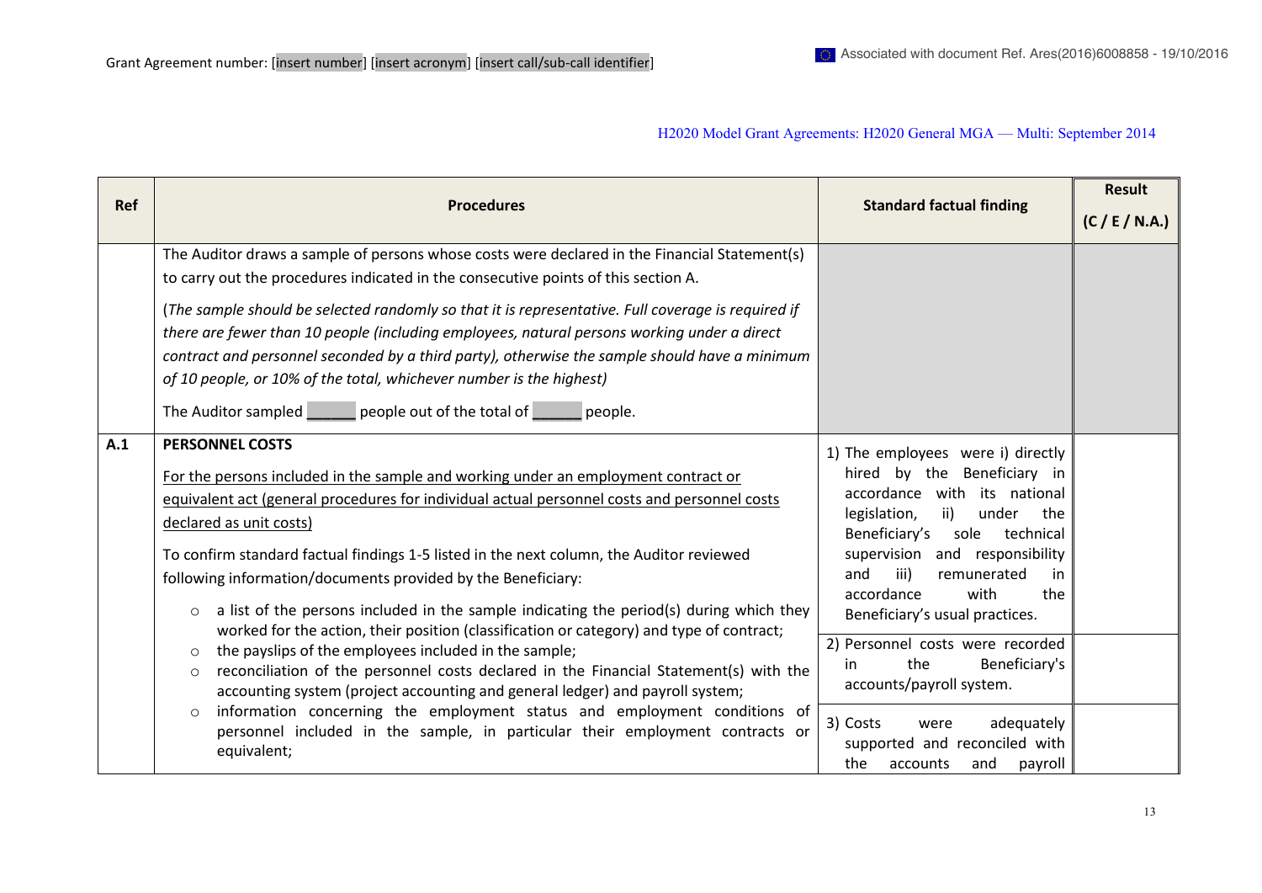| Ref | <b>Procedures</b>                                                                                                                                                                                                                                                                                                                                                                                                                                                                                                                                                                                                                        | <b>Standard factual finding</b>                                                                                                                                                                                                                                                                                       | Result         |
|-----|------------------------------------------------------------------------------------------------------------------------------------------------------------------------------------------------------------------------------------------------------------------------------------------------------------------------------------------------------------------------------------------------------------------------------------------------------------------------------------------------------------------------------------------------------------------------------------------------------------------------------------------|-----------------------------------------------------------------------------------------------------------------------------------------------------------------------------------------------------------------------------------------------------------------------------------------------------------------------|----------------|
|     |                                                                                                                                                                                                                                                                                                                                                                                                                                                                                                                                                                                                                                          |                                                                                                                                                                                                                                                                                                                       | (C / E / N.A.) |
|     | The Auditor draws a sample of persons whose costs were declared in the Financial Statement(s)<br>to carry out the procedures indicated in the consecutive points of this section A.<br>(The sample should be selected randomly so that it is representative. Full coverage is required if<br>there are fewer than 10 people (including employees, natural persons working under a direct<br>contract and personnel seconded by a third party), otherwise the sample should have a minimum<br>of 10 people, or 10% of the total, whichever number is the highest)<br>The Auditor sampled ______ people out of the total of ______ people. |                                                                                                                                                                                                                                                                                                                       |                |
| A.1 | <b>PERSONNEL COSTS</b><br>For the persons included in the sample and working under an employment contract or<br>equivalent act (general procedures for individual actual personnel costs and personnel costs<br>declared as unit costs)<br>To confirm standard factual findings 1-5 listed in the next column, the Auditor reviewed<br>following information/documents provided by the Beneficiary:<br>a list of the persons included in the sample indicating the period(s) during which they<br>$\circ$<br>worked for the action, their position (classification or category) and type of contract;                                    | 1) The employees were i) directly<br>Beneficiary in<br>hired by the<br>accordance with its national<br>ii)<br>legislation,<br>under<br>the<br>Beneficiary's<br>technical<br>sole<br>supervision and responsibility<br>iii)<br>and<br>remunerated<br>in<br>with<br>accordance<br>the<br>Beneficiary's usual practices. |                |
|     | the payslips of the employees included in the sample;<br>$\circ$<br>reconciliation of the personnel costs declared in the Financial Statement(s) with the<br>$\circ$<br>accounting system (project accounting and general ledger) and payroll system;<br>information concerning the employment status and employment conditions of<br>$\circ$<br>personnel included in the sample, in particular their employment contracts or                                                                                                                                                                                                           | 2) Personnel costs were recorded<br>Beneficiary's<br>the<br>in<br>accounts/payroll system.<br>3) Costs<br>adequately<br>were                                                                                                                                                                                          |                |
|     | equivalent;                                                                                                                                                                                                                                                                                                                                                                                                                                                                                                                                                                                                                              | supported and reconciled with<br>the<br>payroll<br>accounts<br>and                                                                                                                                                                                                                                                    |                |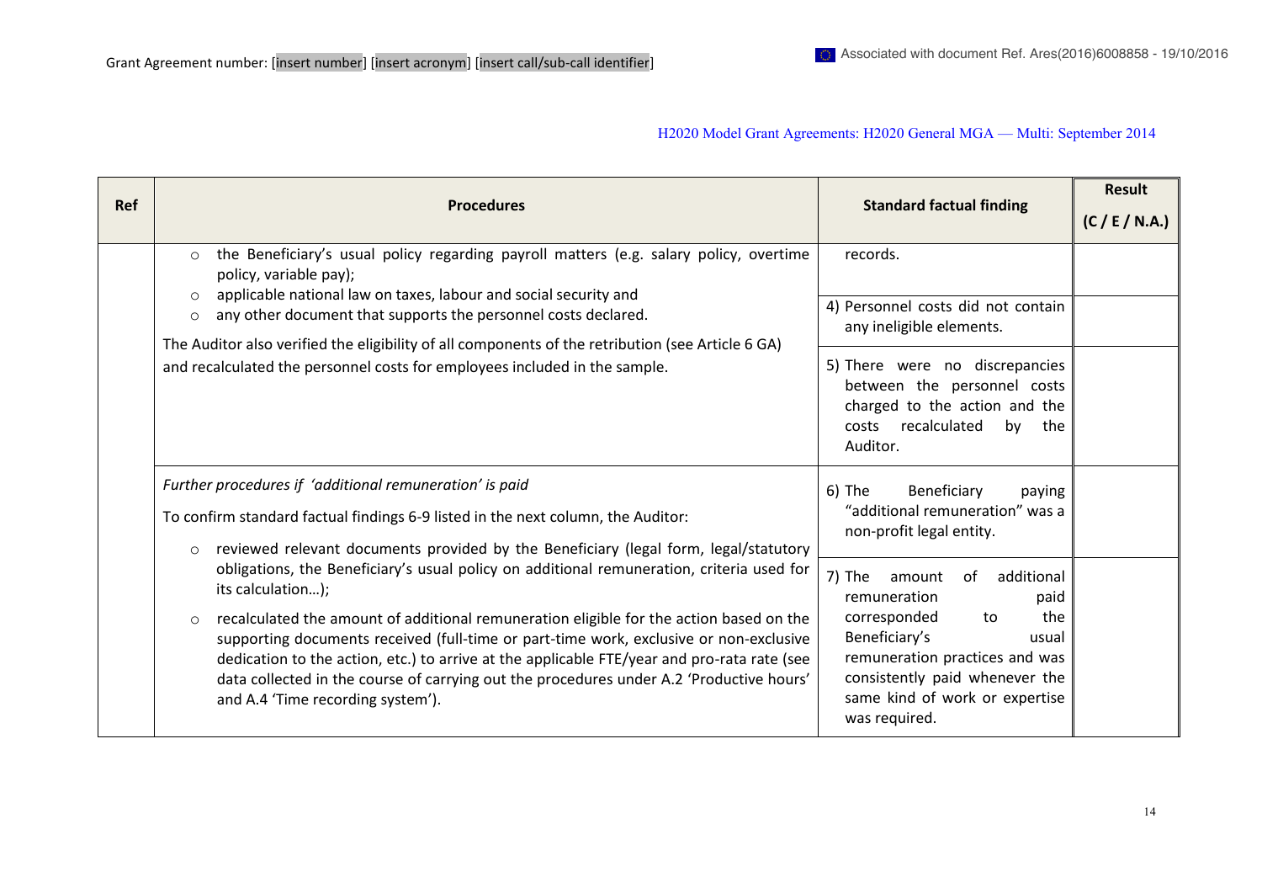| <b>Ref</b> | <b>Procedures</b>                                                                                                                                                                                                                                                                                                                                                                                                                                                                                                                              | <b>Standard factual finding</b>                                                                                                                                                                                                            | Result<br>(C / E / N.A.) |
|------------|------------------------------------------------------------------------------------------------------------------------------------------------------------------------------------------------------------------------------------------------------------------------------------------------------------------------------------------------------------------------------------------------------------------------------------------------------------------------------------------------------------------------------------------------|--------------------------------------------------------------------------------------------------------------------------------------------------------------------------------------------------------------------------------------------|--------------------------|
|            | the Beneficiary's usual policy regarding payroll matters (e.g. salary policy, overtime<br>$\circ$<br>policy, variable pay);<br>applicable national law on taxes, labour and social security and<br>$\circ$<br>any other document that supports the personnel costs declared.<br>$\circ$<br>The Auditor also verified the eligibility of all components of the retribution (see Article 6 GA)<br>and recalculated the personnel costs for employees included in the sample.                                                                     | records.<br>4) Personnel costs did not contain<br>any ineligible elements.<br>5) There were no discrepancies<br>between the personnel costs<br>charged to the action and the<br>recalculated<br>costs<br>by<br>the<br>Auditor.             |                          |
|            | Further procedures if 'additional remuneration' is paid<br>To confirm standard factual findings 6-9 listed in the next column, the Auditor:<br>reviewed relevant documents provided by the Beneficiary (legal form, legal/statutory<br>$\circ$                                                                                                                                                                                                                                                                                                 | Beneficiary<br>$6)$ The<br>paying<br>"additional remuneration" was a<br>non-profit legal entity.                                                                                                                                           |                          |
|            | obligations, the Beneficiary's usual policy on additional remuneration, criteria used for<br>its calculation);<br>recalculated the amount of additional remuneration eligible for the action based on the<br>$\circ$<br>supporting documents received (full-time or part-time work, exclusive or non-exclusive<br>dedication to the action, etc.) to arrive at the applicable FTE/year and pro-rata rate (see<br>data collected in the course of carrying out the procedures under A.2 'Productive hours'<br>and A.4 'Time recording system'). | 7) The<br>additional<br>amount<br>of<br>remuneration<br>paid<br>the<br>corresponded<br>to<br>Beneficiary's<br>usual<br>remuneration practices and was<br>consistently paid whenever the<br>same kind of work or expertise<br>was required. |                          |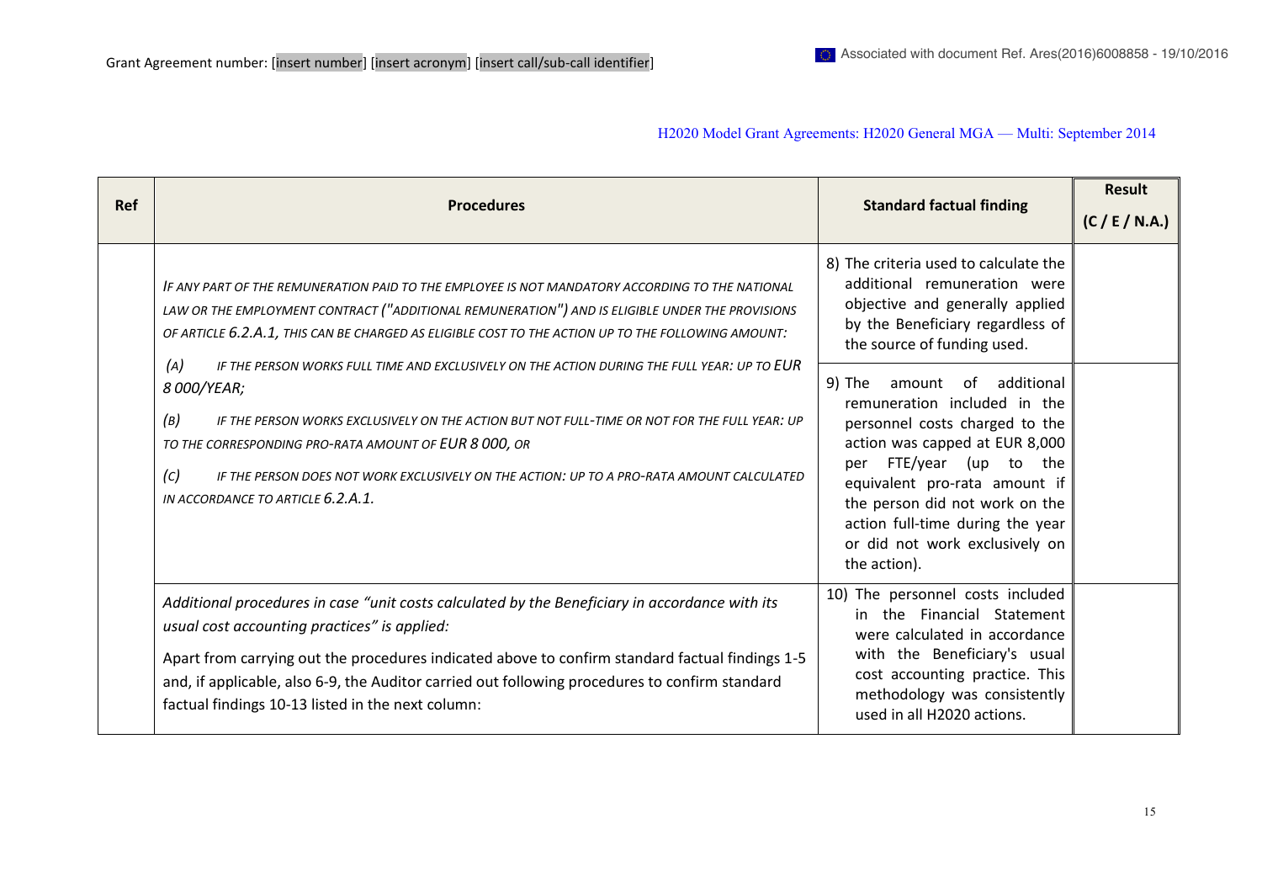| <b>Ref</b> | <b>Procedures</b>                                                                                                                                                                                                                                                                                                                                                                                                                         | <b>Standard factual finding</b>                                                                                                                                                                                                                                                                                           | <b>Result</b><br>(C / E / N.A.) |
|------------|-------------------------------------------------------------------------------------------------------------------------------------------------------------------------------------------------------------------------------------------------------------------------------------------------------------------------------------------------------------------------------------------------------------------------------------------|---------------------------------------------------------------------------------------------------------------------------------------------------------------------------------------------------------------------------------------------------------------------------------------------------------------------------|---------------------------------|
|            | IF ANY PART OF THE REMUNERATION PAID TO THE EMPLOYEE IS NOT MANDATORY ACCORDING TO THE NATIONAL<br>LAW OR THE EMPLOYMENT CONTRACT ("ADDITIONAL REMUNERATION") AND IS ELIGIBLE UNDER THE PROVISIONS<br>OF ARTICLE 6.2.A.1, THIS CAN BE CHARGED AS ELIGIBLE COST TO THE ACTION UP TO THE FOLLOWING AMOUNT:                                                                                                                                  | 8) The criteria used to calculate the<br>additional remuneration were<br>objective and generally applied<br>by the Beneficiary regardless of<br>the source of funding used.                                                                                                                                               |                                 |
|            | (A)<br>IF THE PERSON WORKS FULL TIME AND EXCLUSIVELY ON THE ACTION DURING THE FULL YEAR: UP TO EUR<br>8 000/YEAR;<br>(B)<br>IF THE PERSON WORKS EXCLUSIVELY ON THE ACTION BUT NOT FULL-TIME OR NOT FOR THE FULL YEAR: UP<br>TO THE CORRESPONDING PRO-RATA AMOUNT OF EUR 8 000, OR<br>$\left( c \right)$<br>IF THE PERSON DOES NOT WORK EXCLUSIVELY ON THE ACTION: UP TO A PRO-RATA AMOUNT CALCULATED<br>IN ACCORDANCE TO ARTICLE 6.2.A.1. | 9) The<br>additional<br>amount of<br>remuneration included in the<br>personnel costs charged to the<br>action was capped at EUR 8,000<br>per FTE/year (up to the<br>equivalent pro-rata amount if<br>the person did not work on the<br>action full-time during the year<br>or did not work exclusively on<br>the action). |                                 |
|            | Additional procedures in case "unit costs calculated by the Beneficiary in accordance with its<br>usual cost accounting practices" is applied:<br>Apart from carrying out the procedures indicated above to confirm standard factual findings 1-5<br>and, if applicable, also 6-9, the Auditor carried out following procedures to confirm standard<br>factual findings 10-13 listed in the next column:                                  | 10) The personnel costs included<br>in the Financial Statement<br>were calculated in accordance<br>with the Beneficiary's usual<br>cost accounting practice. This<br>methodology was consistently<br>used in all H2020 actions.                                                                                           |                                 |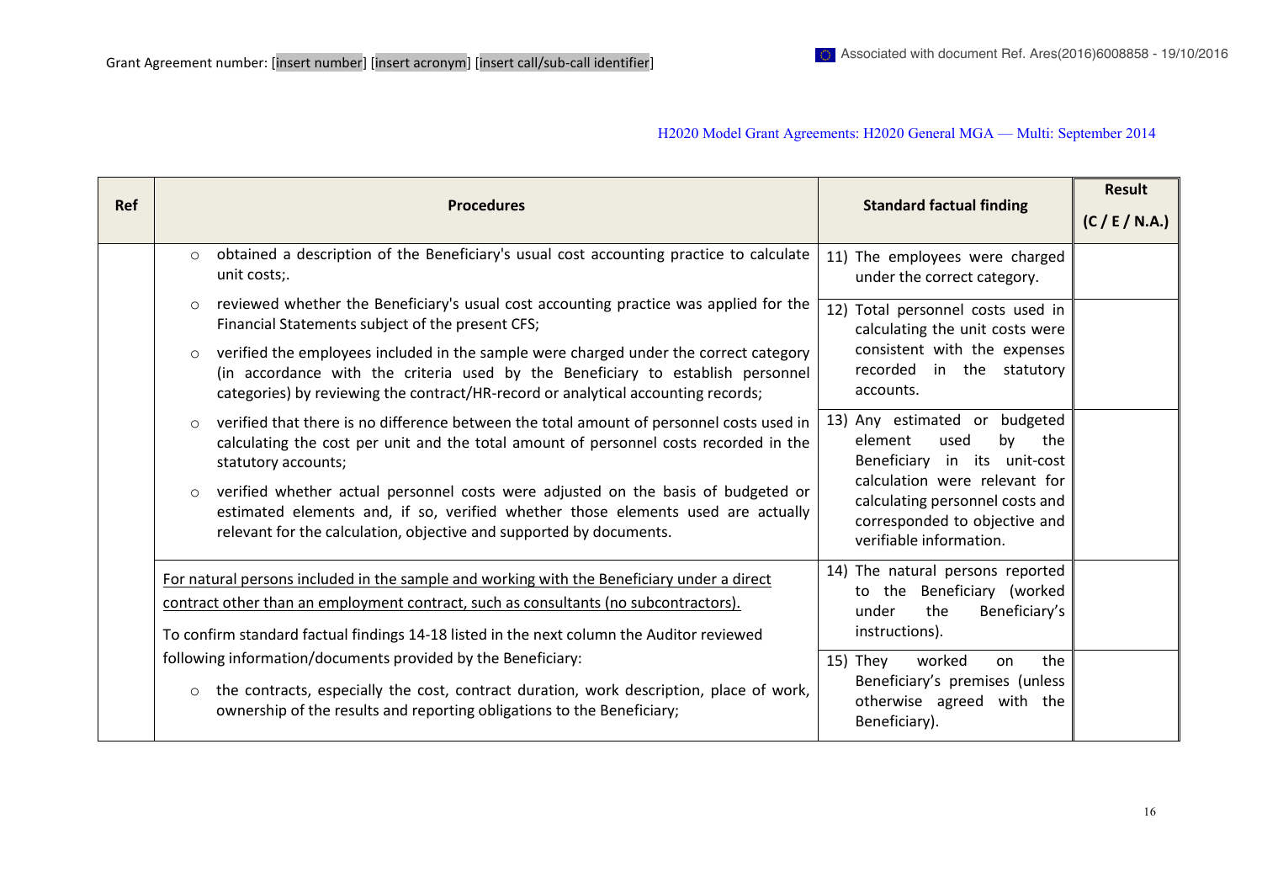| <b>Ref</b> |         | <b>Procedures</b>                                                                                                                                                                                                                                             | <b>Standard factual finding</b>                                                                                              | <b>Result</b><br>(C / E / N.A.) |
|------------|---------|---------------------------------------------------------------------------------------------------------------------------------------------------------------------------------------------------------------------------------------------------------------|------------------------------------------------------------------------------------------------------------------------------|---------------------------------|
|            | $\circ$ | obtained a description of the Beneficiary's usual cost accounting practice to calculate<br>unit costs;.                                                                                                                                                       | 11) The employees were charged<br>under the correct category.                                                                |                                 |
|            | $\circ$ | reviewed whether the Beneficiary's usual cost accounting practice was applied for the<br>Financial Statements subject of the present CFS;                                                                                                                     | 12) Total personnel costs used in<br>calculating the unit costs were                                                         |                                 |
|            | $\circ$ | verified the employees included in the sample were charged under the correct category<br>(in accordance with the criteria used by the Beneficiary to establish personnel<br>categories) by reviewing the contract/HR-record or analytical accounting records; | consistent with the expenses<br>recorded in the statutory<br>accounts.                                                       |                                 |
|            | $\circ$ | verified that there is no difference between the total amount of personnel costs used in<br>calculating the cost per unit and the total amount of personnel costs recorded in the<br>statutory accounts;                                                      | 13) Any estimated or budgeted<br>element<br>used<br>by<br>the<br>Beneficiary in its unit-cost                                |                                 |
|            | $\circ$ | verified whether actual personnel costs were adjusted on the basis of budgeted or<br>estimated elements and, if so, verified whether those elements used are actually<br>relevant for the calculation, objective and supported by documents.                  | calculation were relevant for<br>calculating personnel costs and<br>corresponded to objective and<br>verifiable information. |                                 |
|            |         | For natural persons included in the sample and working with the Beneficiary under a direct<br>contract other than an employment contract, such as consultants (no subcontractors).                                                                            | 14) The natural persons reported<br>to the Beneficiary (worked<br>Beneficiary's<br>the<br>under                              |                                 |
|            |         | To confirm standard factual findings 14-18 listed in the next column the Auditor reviewed                                                                                                                                                                     | instructions).                                                                                                               |                                 |
|            | $\circ$ | following information/documents provided by the Beneficiary:<br>the contracts, especially the cost, contract duration, work description, place of work,                                                                                                       | worked<br>the<br>15) They<br>on<br>Beneficiary's premises (unless<br>otherwise agreed with the                               |                                 |
|            |         | ownership of the results and reporting obligations to the Beneficiary;                                                                                                                                                                                        | Beneficiary).                                                                                                                |                                 |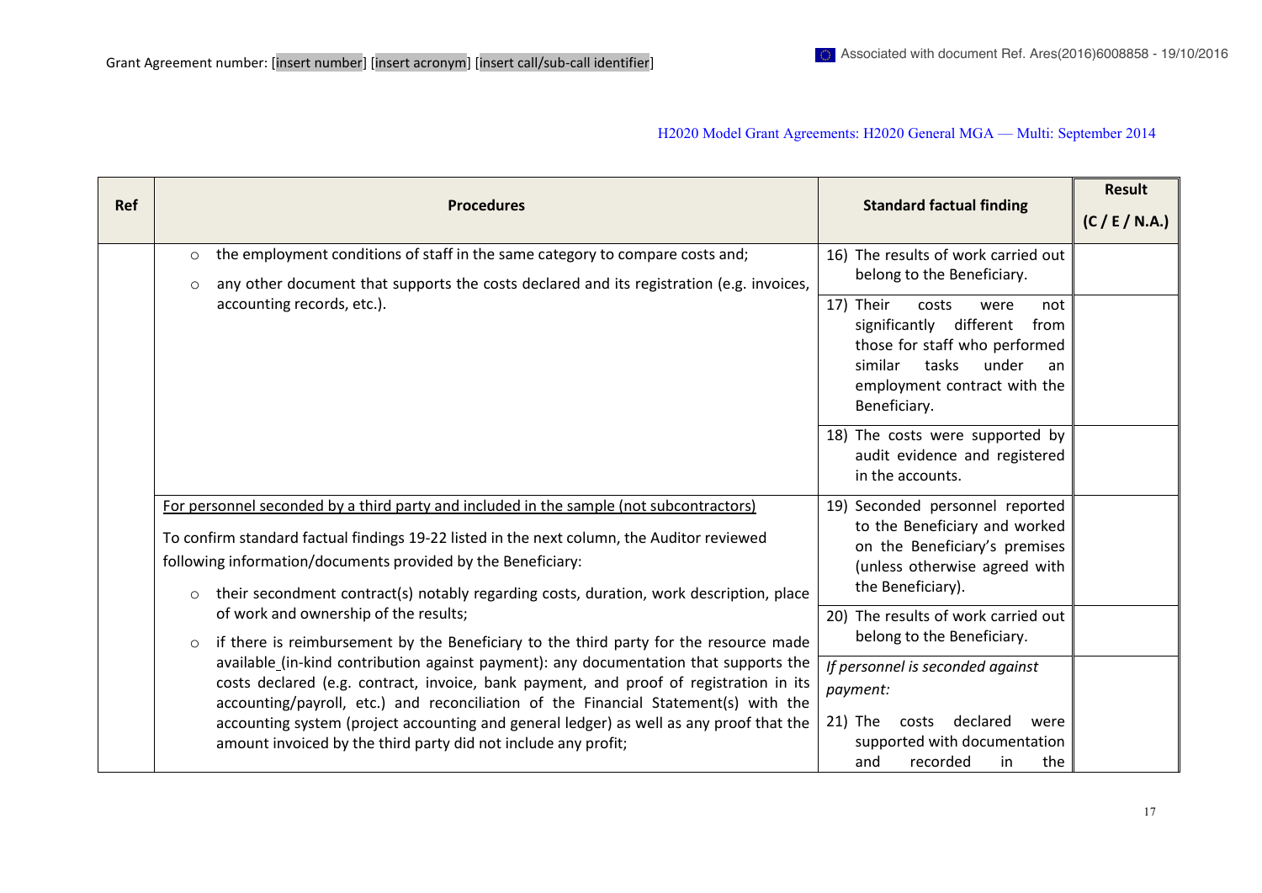| <b>Ref</b> | <b>Procedures</b>                                                                                                                                                                                                                                                                                                                                                                                                                   | <b>Standard factual finding</b>                                                                                                                                                          | <b>Result</b><br>(C / E / N.A.) |
|------------|-------------------------------------------------------------------------------------------------------------------------------------------------------------------------------------------------------------------------------------------------------------------------------------------------------------------------------------------------------------------------------------------------------------------------------------|------------------------------------------------------------------------------------------------------------------------------------------------------------------------------------------|---------------------------------|
|            | the employment conditions of staff in the same category to compare costs and;<br>$\circ$<br>any other document that supports the costs declared and its registration (e.g. invoices,<br>$\circ$                                                                                                                                                                                                                                     | 16) The results of work carried out<br>belong to the Beneficiary.                                                                                                                        |                                 |
|            | accounting records, etc.).                                                                                                                                                                                                                                                                                                                                                                                                          | 17) Their<br>costs<br>were<br>not<br>significantly different<br>from<br>those for staff who performed<br>tasks<br>under<br>similar<br>an<br>employment contract with the<br>Beneficiary. |                                 |
|            |                                                                                                                                                                                                                                                                                                                                                                                                                                     | 18) The costs were supported by<br>audit evidence and registered<br>in the accounts.                                                                                                     |                                 |
|            | For personnel seconded by a third party and included in the sample (not subcontractors)<br>To confirm standard factual findings 19-22 listed in the next column, the Auditor reviewed<br>following information/documents provided by the Beneficiary:<br>their secondment contract(s) notably regarding costs, duration, work description, place<br>$\circ$                                                                         | 19) Seconded personnel reported<br>to the Beneficiary and worked<br>on the Beneficiary's premises<br>(unless otherwise agreed with<br>the Beneficiary).                                  |                                 |
|            | of work and ownership of the results;<br>if there is reimbursement by the Beneficiary to the third party for the resource made<br>$\circ$                                                                                                                                                                                                                                                                                           | 20) The results of work carried out<br>belong to the Beneficiary.                                                                                                                        |                                 |
|            | available_(in-kind contribution against payment): any documentation that supports the<br>costs declared (e.g. contract, invoice, bank payment, and proof of registration in its<br>accounting/payroll, etc.) and reconciliation of the Financial Statement(s) with the<br>accounting system (project accounting and general ledger) as well as any proof that the<br>amount invoiced by the third party did not include any profit; | If personnel is seconded against<br>payment:<br>declared<br>21) The<br>costs<br>were<br>supported with documentation<br>recorded<br>the<br>and<br>in                                     |                                 |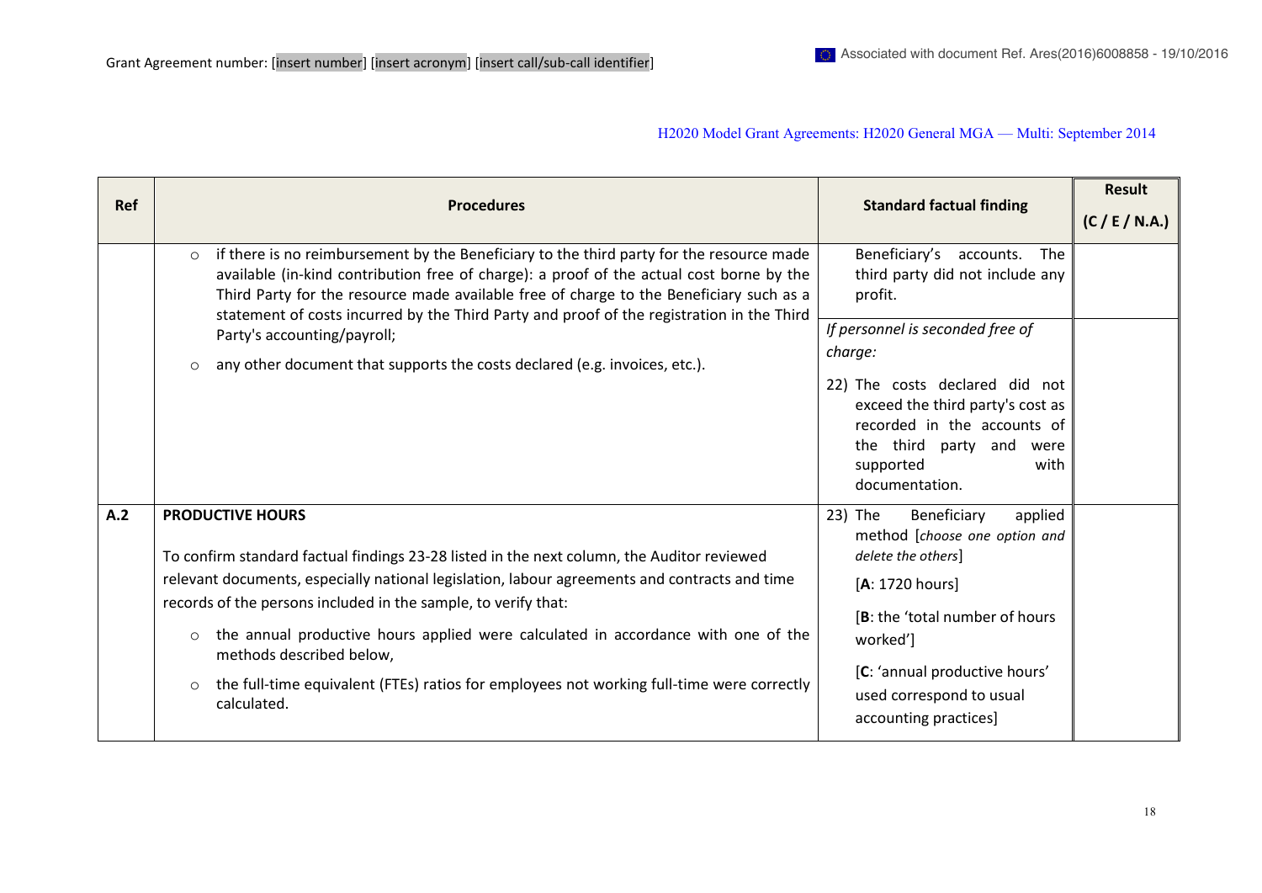|            |                                                                                                                                                                                                                                                                                                                                                                                                                                                                                                                                             | <b>Standard factual finding</b>                                                                                                                                                                                                                 | <b>Result</b>  |
|------------|---------------------------------------------------------------------------------------------------------------------------------------------------------------------------------------------------------------------------------------------------------------------------------------------------------------------------------------------------------------------------------------------------------------------------------------------------------------------------------------------------------------------------------------------|-------------------------------------------------------------------------------------------------------------------------------------------------------------------------------------------------------------------------------------------------|----------------|
| <b>Ref</b> | <b>Procedures</b>                                                                                                                                                                                                                                                                                                                                                                                                                                                                                                                           |                                                                                                                                                                                                                                                 | (C / E / N.A.) |
|            | if there is no reimbursement by the Beneficiary to the third party for the resource made<br>$\circ$<br>available (in-kind contribution free of charge): a proof of the actual cost borne by the<br>Third Party for the resource made available free of charge to the Beneficiary such as a<br>statement of costs incurred by the Third Party and proof of the registration in the Third                                                                                                                                                     | Beneficiary's<br>accounts.<br>The<br>third party did not include any<br>profit.                                                                                                                                                                 |                |
|            | Party's accounting/payroll;                                                                                                                                                                                                                                                                                                                                                                                                                                                                                                                 | If personnel is seconded free of<br>charge:                                                                                                                                                                                                     |                |
|            | any other document that supports the costs declared (e.g. invoices, etc.).<br>$\circ$                                                                                                                                                                                                                                                                                                                                                                                                                                                       | 22) The costs declared did not<br>exceed the third party's cost as<br>recorded in the accounts of<br>the third party and<br>were<br>supported<br>with<br>documentation.                                                                         |                |
| A.2        | <b>PRODUCTIVE HOURS</b><br>To confirm standard factual findings 23-28 listed in the next column, the Auditor reviewed<br>relevant documents, especially national legislation, labour agreements and contracts and time<br>records of the persons included in the sample, to verify that:<br>the annual productive hours applied were calculated in accordance with one of the<br>$\circ$<br>methods described below,<br>the full-time equivalent (FTEs) ratios for employees not working full-time were correctly<br>$\circ$<br>calculated. | 23) The<br>Beneficiary<br>applied<br>method [choose one option and<br>delete the others]<br>[A: 1720 hours]<br>[B: the 'total number of hours<br>worked']<br>[C: 'annual productive hours'<br>used correspond to usual<br>accounting practices] |                |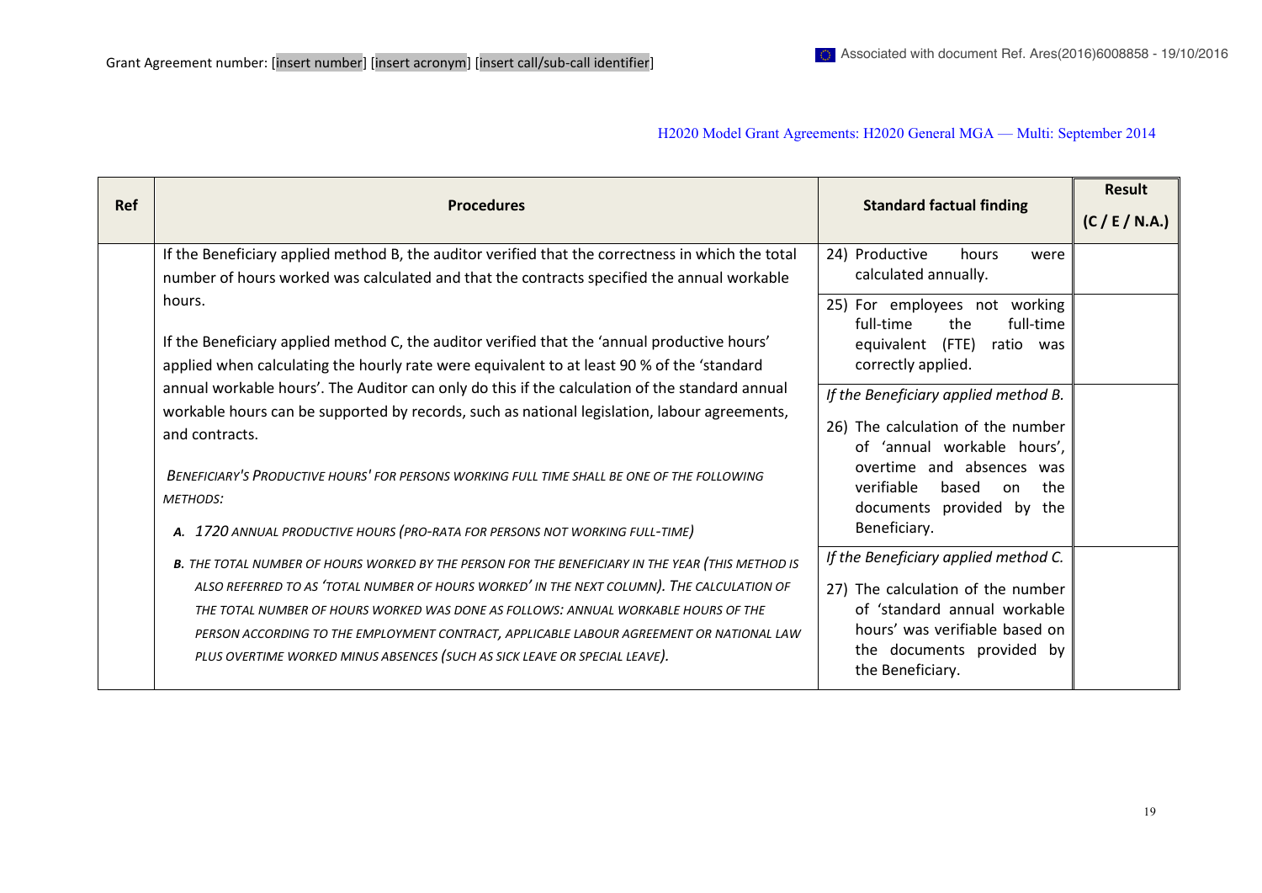| <b>Ref</b> | <b>Procedures</b>                                                                                                                                                                                                                                                                                                                                                                                                                                               | <b>Standard factual finding</b>                                                                                                                                                              | <b>Result</b><br>(C / E / N.A.) |
|------------|-----------------------------------------------------------------------------------------------------------------------------------------------------------------------------------------------------------------------------------------------------------------------------------------------------------------------------------------------------------------------------------------------------------------------------------------------------------------|----------------------------------------------------------------------------------------------------------------------------------------------------------------------------------------------|---------------------------------|
|            | If the Beneficiary applied method B, the auditor verified that the correctness in which the total                                                                                                                                                                                                                                                                                                                                                               | 24) Productive<br>hours<br>were<br>calculated annually.                                                                                                                                      |                                 |
|            | number of hours worked was calculated and that the contracts specified the annual workable<br>hours.<br>If the Beneficiary applied method C, the auditor verified that the 'annual productive hours'<br>applied when calculating the hourly rate were equivalent to at least 90 % of the 'standard                                                                                                                                                              | For employees not working<br>25)<br>full-time<br>the<br>full-time<br>(FTE)<br>equivalent<br>ratio was<br>correctly applied.                                                                  |                                 |
|            | annual workable hours'. The Auditor can only do this if the calculation of the standard annual<br>workable hours can be supported by records, such as national legislation, labour agreements,<br>and contracts.<br>BENEFICIARY'S PRODUCTIVE HOURS' FOR PERSONS WORKING FULL TIME SHALL BE ONE OF THE FOLLOWING                                                                                                                                                 | If the Beneficiary applied method B.<br>26) The calculation of the number<br>of 'annual workable hours',<br>overtime and absences was                                                        |                                 |
|            | <b>METHODS:</b><br>A. 1720 ANNUAL PRODUCTIVE HOURS (PRO-RATA FOR PERSONS NOT WORKING FULL-TIME)                                                                                                                                                                                                                                                                                                                                                                 | verifiable<br>based<br>the<br><sub>on</sub><br>documents provided by<br>the<br>Beneficiary.                                                                                                  |                                 |
|            | B. THE TOTAL NUMBER OF HOURS WORKED BY THE PERSON FOR THE BENEFICIARY IN THE YEAR (THIS METHOD IS<br>ALSO REFERRED TO AS 'TOTAL NUMBER OF HOURS WORKED' IN THE NEXT COLUMN). THE CALCULATION OF<br>THE TOTAL NUMBER OF HOURS WORKED WAS DONE AS FOLLOWS: ANNUAL WORKABLE HOURS OF THE<br>PERSON ACCORDING TO THE EMPLOYMENT CONTRACT, APPLICABLE LABOUR AGREEMENT OR NATIONAL LAW<br>PLUS OVERTIME WORKED MINUS ABSENCES (SUCH AS SICK LEAVE OR SPECIAL LEAVE). | If the Beneficiary applied method C.<br>27) The calculation of the number<br>of 'standard annual workable<br>hours' was verifiable based on<br>the documents provided by<br>the Beneficiary. |                                 |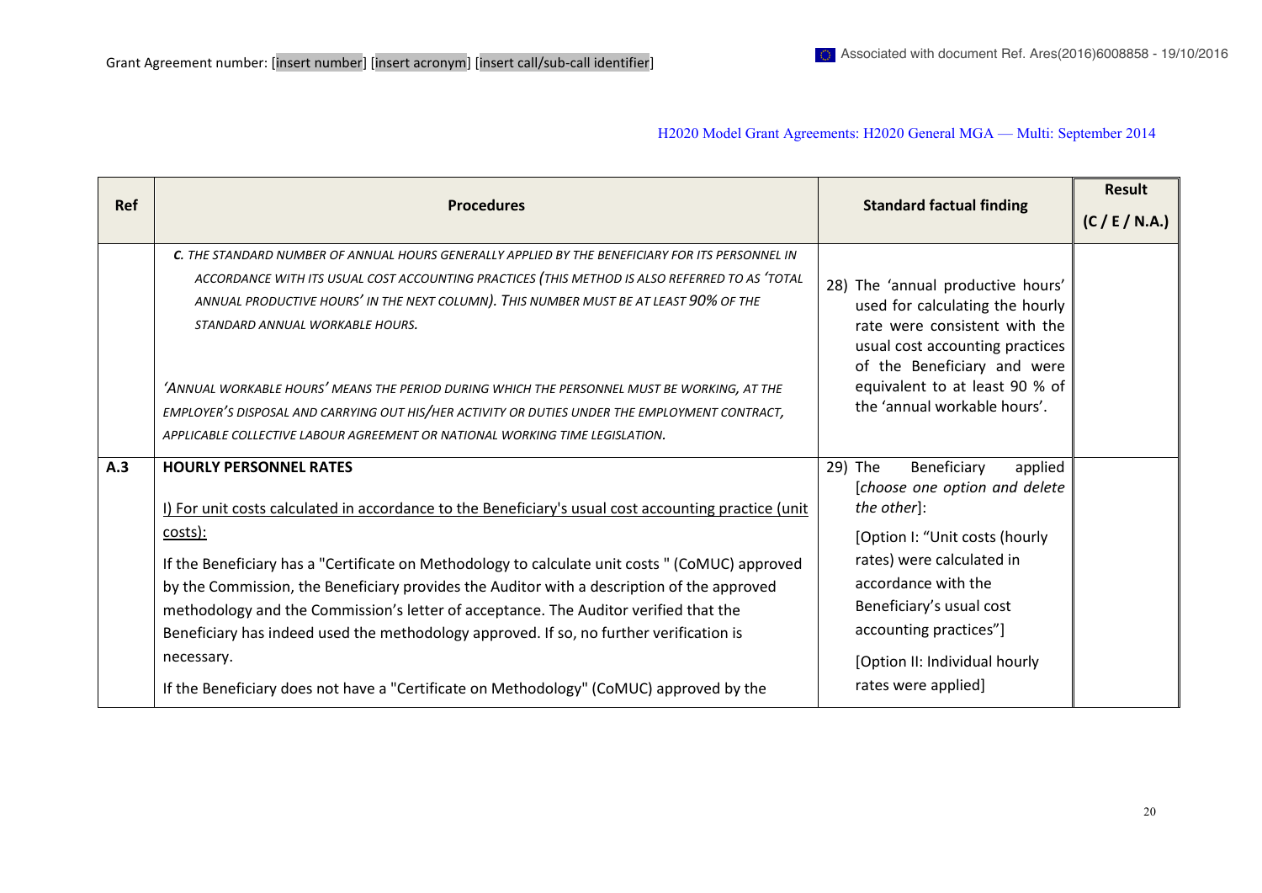| <b>Ref</b> | <b>Procedures</b>                                                                                                                                                                                                                                                                                                                                                                                                                                                                                                                                                                                                                             | <b>Standard factual finding</b>                                                                                                                                                                                                                                                       | Result<br>(C / E / N.A.) |
|------------|-----------------------------------------------------------------------------------------------------------------------------------------------------------------------------------------------------------------------------------------------------------------------------------------------------------------------------------------------------------------------------------------------------------------------------------------------------------------------------------------------------------------------------------------------------------------------------------------------------------------------------------------------|---------------------------------------------------------------------------------------------------------------------------------------------------------------------------------------------------------------------------------------------------------------------------------------|--------------------------|
|            | C. THE STANDARD NUMBER OF ANNUAL HOURS GENERALLY APPLIED BY THE BENEFICIARY FOR ITS PERSONNEL IN<br>ACCORDANCE WITH ITS USUAL COST ACCOUNTING PRACTICES (THIS METHOD IS ALSO REFERRED TO AS 'TOTAL<br>ANNUAL PRODUCTIVE HOURS' IN THE NEXT COLUMN). THIS NUMBER MUST BE AT LEAST 90% OF THE<br>STANDARD ANNUAL WORKABLE HOURS.<br>'ANNUAL WORKABLE HOURS' MEANS THE PERIOD DURING WHICH THE PERSONNEL MUST BE WORKING, AT THE<br>EMPLOYER'S DISPOSAL AND CARRYING OUT HIS/HER ACTIVITY OR DUTIES UNDER THE EMPLOYMENT CONTRACT,<br>APPLICABLE COLLECTIVE LABOUR AGREEMENT OR NATIONAL WORKING TIME LEGISLATION.                               | 28) The 'annual productive hours'<br>used for calculating the hourly<br>rate were consistent with the<br>usual cost accounting practices<br>of the Beneficiary and were<br>equivalent to at least 90 % of<br>the 'annual workable hours'.                                             |                          |
| A.3        | <b>HOURLY PERSONNEL RATES</b><br>I) For unit costs calculated in accordance to the Beneficiary's usual cost accounting practice (unit<br>costs):<br>If the Beneficiary has a "Certificate on Methodology to calculate unit costs " (CoMUC) approved<br>by the Commission, the Beneficiary provides the Auditor with a description of the approved<br>methodology and the Commission's letter of acceptance. The Auditor verified that the<br>Beneficiary has indeed used the methodology approved. If so, no further verification is<br>necessary.<br>If the Beneficiary does not have a "Certificate on Methodology" (CoMUC) approved by the | 29) The<br>Beneficiary<br>applied<br>[choose one option and delete<br>the other]:<br>[Option I: "Unit costs (hourly<br>rates) were calculated in<br>accordance with the<br>Beneficiary's usual cost<br>accounting practices"]<br>[Option II: Individual hourly<br>rates were applied] |                          |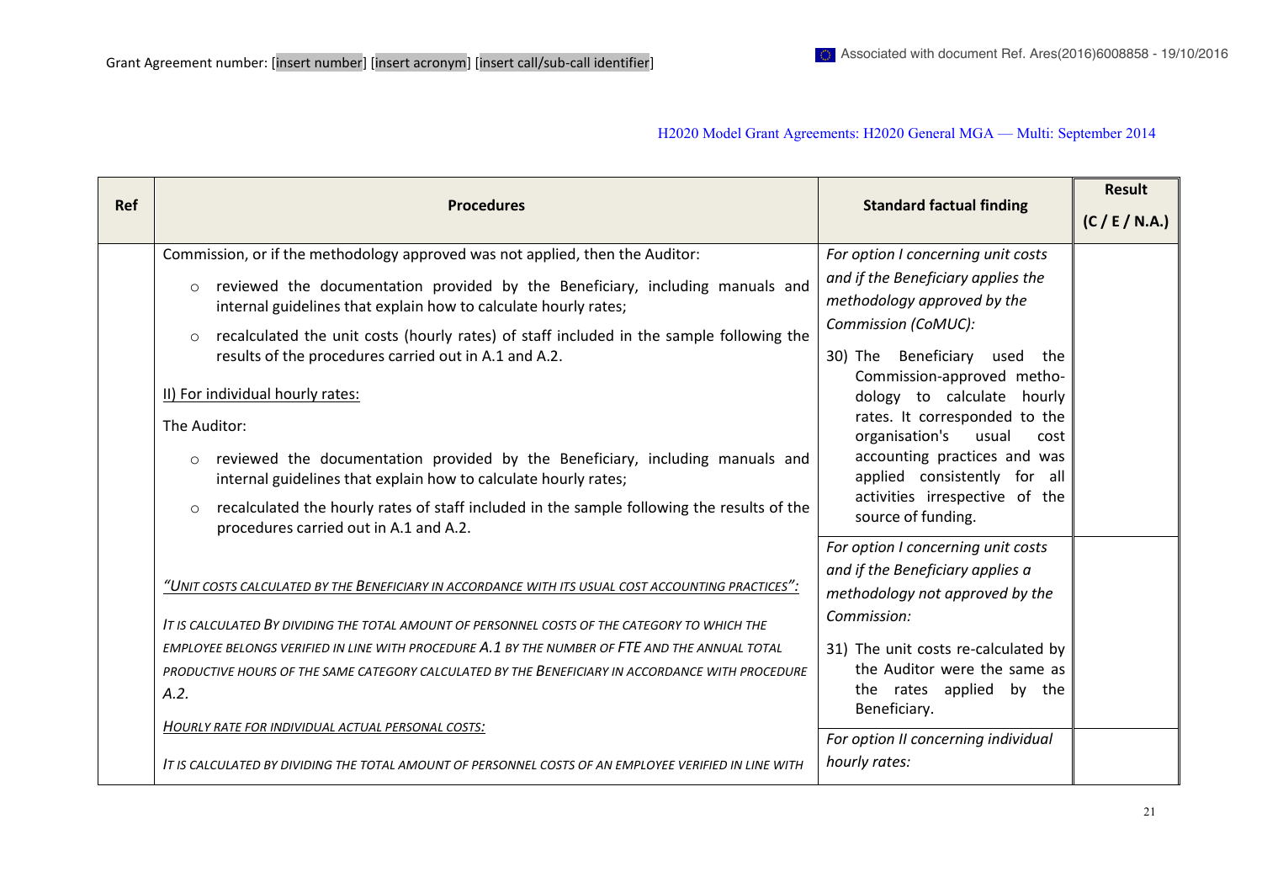| <b>Ref</b> | <b>Procedures</b>                                                                                                                                                                                                                                                                                                                                                                                                                                                                                                                                                                                                                                                                                   | <b>Standard factual finding</b>                                                                                                                                                                                                                                                                                                                                                     | Result         |
|------------|-----------------------------------------------------------------------------------------------------------------------------------------------------------------------------------------------------------------------------------------------------------------------------------------------------------------------------------------------------------------------------------------------------------------------------------------------------------------------------------------------------------------------------------------------------------------------------------------------------------------------------------------------------------------------------------------------------|-------------------------------------------------------------------------------------------------------------------------------------------------------------------------------------------------------------------------------------------------------------------------------------------------------------------------------------------------------------------------------------|----------------|
|            |                                                                                                                                                                                                                                                                                                                                                                                                                                                                                                                                                                                                                                                                                                     |                                                                                                                                                                                                                                                                                                                                                                                     | (C / E / N.A.) |
|            | Commission, or if the methodology approved was not applied, then the Auditor:                                                                                                                                                                                                                                                                                                                                                                                                                                                                                                                                                                                                                       | For option I concerning unit costs                                                                                                                                                                                                                                                                                                                                                  |                |
|            | reviewed the documentation provided by the Beneficiary, including manuals and<br>$\circ$<br>internal guidelines that explain how to calculate hourly rates;<br>recalculated the unit costs (hourly rates) of staff included in the sample following the<br>$\Omega$<br>results of the procedures carried out in A.1 and A.2.<br>II) For individual hourly rates:<br>The Auditor:<br>reviewed the documentation provided by the Beneficiary, including manuals and<br>$\circ$<br>internal guidelines that explain how to calculate hourly rates;<br>recalculated the hourly rates of staff included in the sample following the results of the<br>$\Omega$<br>procedures carried out in A.1 and A.2. | and if the Beneficiary applies the<br>methodology approved by the<br>Commission (CoMUC):<br>Beneficiary used the<br>30) The<br>Commission-approved metho-<br>dology to calculate hourly<br>rates. It corresponded to the<br>organisation's<br>usual<br>cost<br>accounting practices and was<br>applied consistently for all<br>activities irrespective of the<br>source of funding. |                |
|            | "UNIT COSTS CALCULATED BY THE BENEFICIARY IN ACCORDANCE WITH ITS USUAL COST ACCOUNTING PRACTICES".<br>IT IS CALCULATED BY DIVIDING THE TOTAL AMOUNT OF PERSONNEL COSTS OF THE CATEGORY TO WHICH THE<br>EMPLOYEE BELONGS VERIFIED IN LINE WITH PROCEDURE A.1 BY THE NUMBER OF FTE AND THE ANNUAL TOTAL<br>PRODUCTIVE HOURS OF THE SAME CATEGORY CALCULATED BY THE BENEFICIARY IN ACCORDANCE WITH PROCEDURE<br>A.2.<br>HOURLY RATE FOR INDIVIDUAL ACTUAL PERSONAL COSTS:                                                                                                                                                                                                                              | For option I concerning unit costs<br>and if the Beneficiary applies a<br>methodology not approved by the<br>Commission:<br>31) The unit costs re-calculated by<br>the Auditor were the same as<br>the rates applied by the<br>Beneficiary.                                                                                                                                         |                |
|            | IT IS CALCULATED BY DIVIDING THE TOTAL AMOUNT OF PERSONNEL COSTS OF AN EMPLOYEE VERIFIED IN LINE WITH                                                                                                                                                                                                                                                                                                                                                                                                                                                                                                                                                                                               | For option II concerning individual<br>hourly rates:                                                                                                                                                                                                                                                                                                                                |                |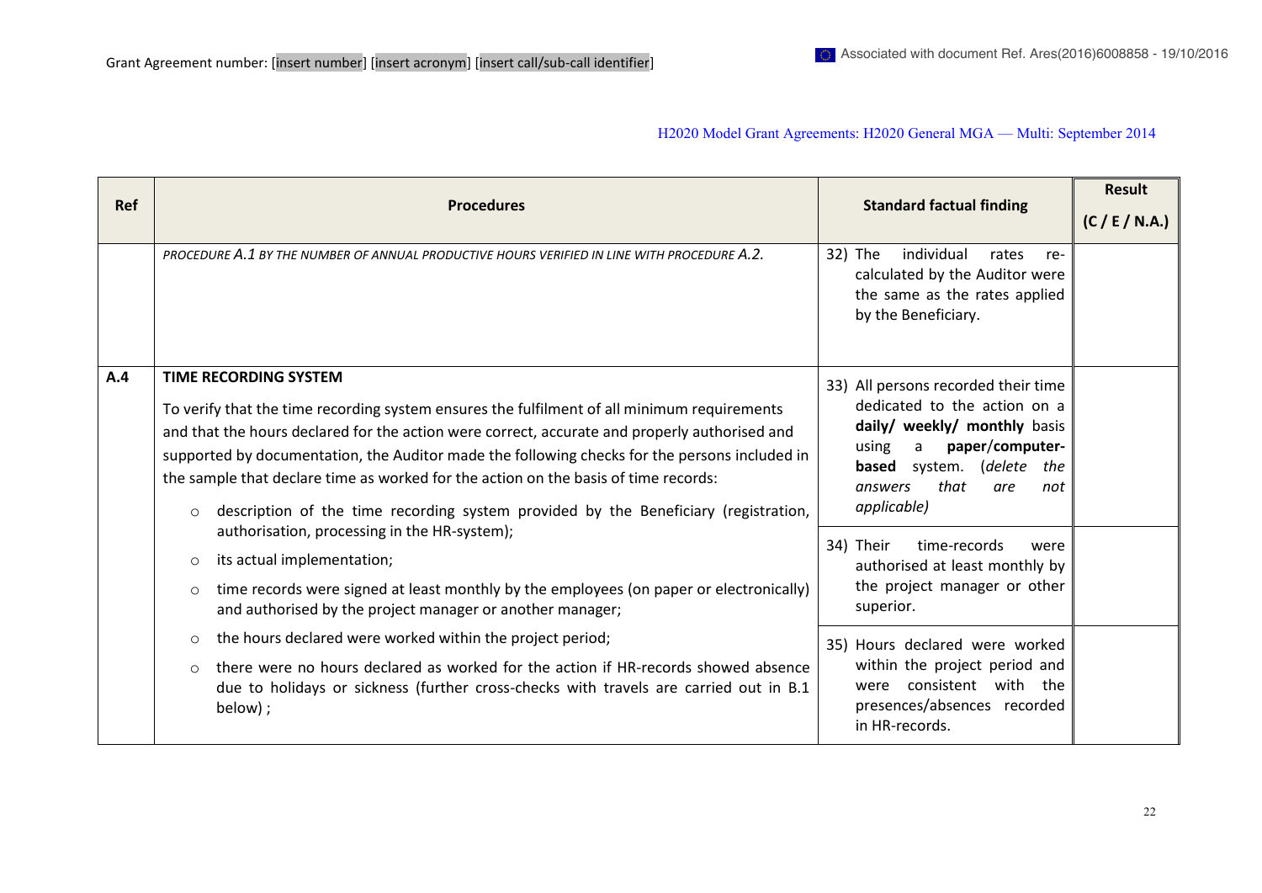| <b>Ref</b> | <b>Procedures</b>                                                                                                                                                                                                                                                                                                                                                                                                                                                                                                      | <b>Standard factual finding</b>                                                                                                                                                                                                                                                                                                                    | Result<br>(C / E / N.A.) |
|------------|------------------------------------------------------------------------------------------------------------------------------------------------------------------------------------------------------------------------------------------------------------------------------------------------------------------------------------------------------------------------------------------------------------------------------------------------------------------------------------------------------------------------|----------------------------------------------------------------------------------------------------------------------------------------------------------------------------------------------------------------------------------------------------------------------------------------------------------------------------------------------------|--------------------------|
|            | PROCEDURE A.1 BY THE NUMBER OF ANNUAL PRODUCTIVE HOURS VERIFIED IN LINE WITH PROCEDURE A.2.                                                                                                                                                                                                                                                                                                                                                                                                                            | individual<br>32) The<br>rates<br>re-<br>calculated by the Auditor were<br>the same as the rates applied<br>by the Beneficiary.                                                                                                                                                                                                                    |                          |
| A.4        | <b>TIME RECORDING SYSTEM</b><br>To verify that the time recording system ensures the fulfilment of all minimum requirements<br>and that the hours declared for the action were correct, accurate and properly authorised and<br>supported by documentation, the Auditor made the following checks for the persons included in<br>the sample that declare time as worked for the action on the basis of time records:<br>description of the time recording system provided by the Beneficiary (registration,<br>$\circ$ | 33) All persons recorded their time<br>dedicated to the action on a<br>daily/ weekly/ monthly basis<br>paper/computer-<br>using<br>a<br>(delete<br><b>based</b> system.<br>the<br>that<br>answers<br>are<br>not<br>applicable)<br>34) Their<br>time-records<br>were<br>authorised at least monthly by<br>the project manager or other<br>superior. |                          |
|            | authorisation, processing in the HR-system);<br>its actual implementation;<br>$\circ$<br>time records were signed at least monthly by the employees (on paper or electronically)<br>$\circ$<br>and authorised by the project manager or another manager;                                                                                                                                                                                                                                                               |                                                                                                                                                                                                                                                                                                                                                    |                          |
|            | the hours declared were worked within the project period;<br>$\circ$<br>there were no hours declared as worked for the action if HR-records showed absence<br>$\circ$<br>due to holidays or sickness (further cross-checks with travels are carried out in B.1<br>below);                                                                                                                                                                                                                                              | 35) Hours declared were worked<br>within the project period and<br>were consistent with the<br>presences/absences recorded<br>in HR-records.                                                                                                                                                                                                       |                          |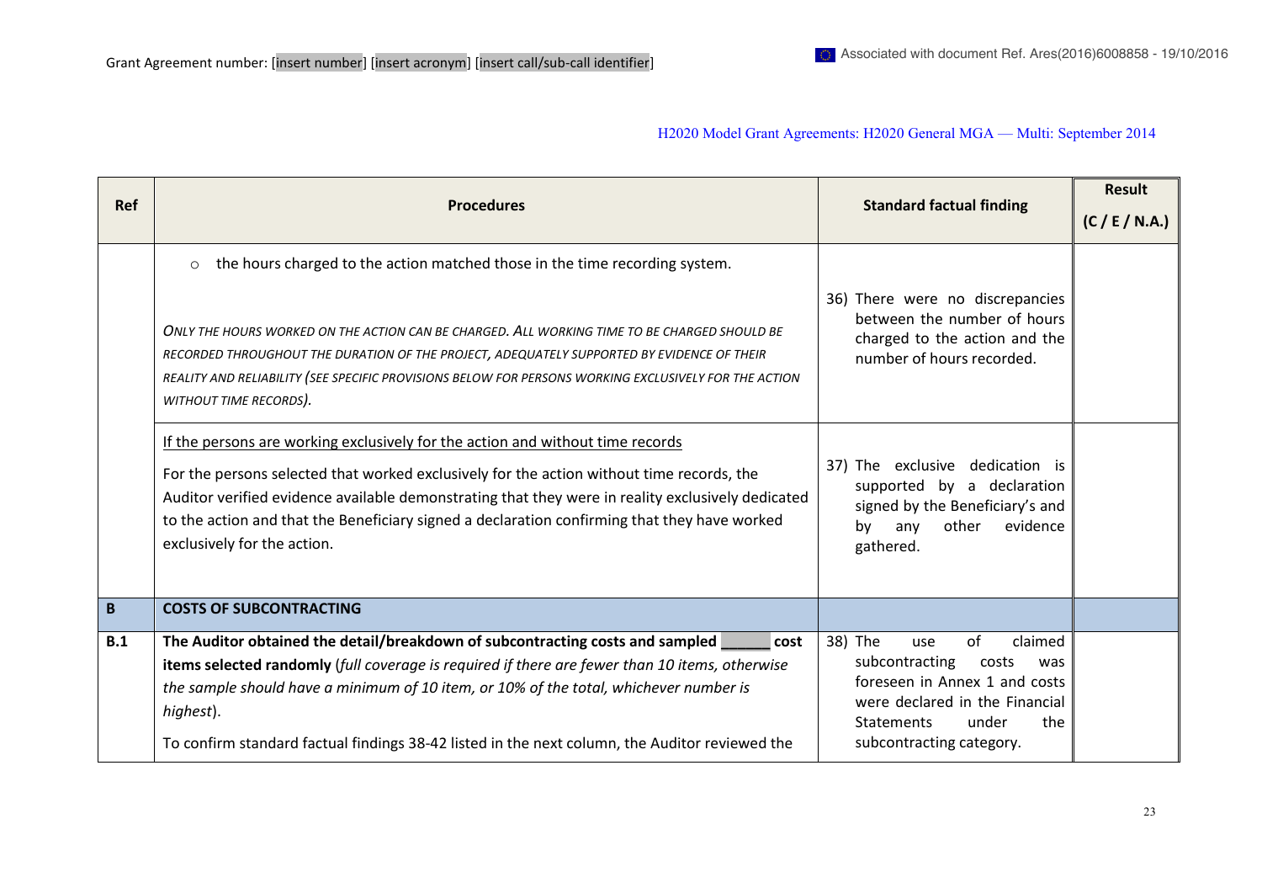| <b>Ref</b> | <b>Procedures</b>                                                                                                                                                                                                                                                                                                                                                                                               | <b>Standard factual finding</b>                                                                                                                                                                       | <b>Result</b>  |
|------------|-----------------------------------------------------------------------------------------------------------------------------------------------------------------------------------------------------------------------------------------------------------------------------------------------------------------------------------------------------------------------------------------------------------------|-------------------------------------------------------------------------------------------------------------------------------------------------------------------------------------------------------|----------------|
|            |                                                                                                                                                                                                                                                                                                                                                                                                                 |                                                                                                                                                                                                       | (C / E / N.A.) |
|            | the hours charged to the action matched those in the time recording system.<br>$\circ$                                                                                                                                                                                                                                                                                                                          | 36) There were no discrepancies                                                                                                                                                                       |                |
|            | ONLY THE HOURS WORKED ON THE ACTION CAN BE CHARGED. ALL WORKING TIME TO BE CHARGED SHOULD BE<br>RECORDED THROUGHOUT THE DURATION OF THE PROJECT, ADEQUATELY SUPPORTED BY EVIDENCE OF THEIR<br>REALITY AND RELIABILITY (SEE SPECIFIC PROVISIONS BELOW FOR PERSONS WORKING EXCLUSIVELY FOR THE ACTION<br>WITHOUT TIME RECORDS).                                                                                   | between the number of hours<br>charged to the action and the<br>number of hours recorded.                                                                                                             |                |
|            | If the persons are working exclusively for the action and without time records<br>For the persons selected that worked exclusively for the action without time records, the<br>Auditor verified evidence available demonstrating that they were in reality exclusively dedicated<br>to the action and that the Beneficiary signed a declaration confirming that they have worked<br>exclusively for the action. | 37) The exclusive dedication is<br>supported by a declaration<br>signed by the Beneficiary's and<br>evidence<br>other<br>any<br>bv<br>gathered.                                                       |                |
| B          | <b>COSTS OF SUBCONTRACTING</b>                                                                                                                                                                                                                                                                                                                                                                                  |                                                                                                                                                                                                       |                |
| B.1        | The Auditor obtained the detail/breakdown of subcontracting costs and sampled<br>  cost<br>items selected randomly (full coverage is required if there are fewer than 10 items, otherwise<br>the sample should have a minimum of 10 item, or 10% of the total, whichever number is<br>highest).<br>To confirm standard factual findings 38-42 listed in the next column, the Auditor reviewed the               | 38) The<br>of<br>claimed<br>use<br>subcontracting<br>costs<br>was<br>foreseen in Annex 1 and costs<br>were declared in the Financial<br><b>Statements</b><br>the<br>under<br>subcontracting category. |                |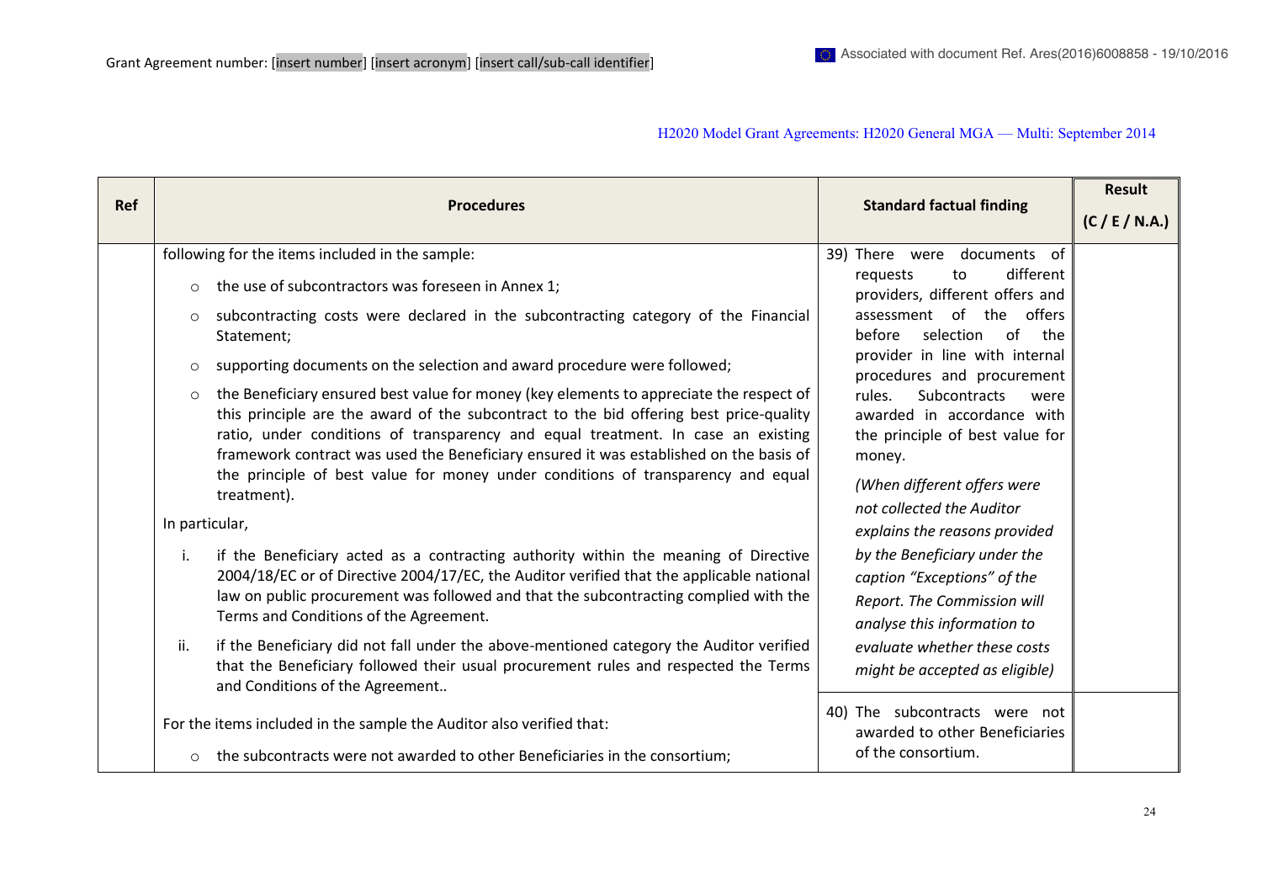| <b>Ref</b> | <b>Procedures</b>                                                                                                                                                                                                                                                                                                                                                                                                                                                                               | <b>Standard factual finding</b>                                                                                                                                                                                                                                                                             | <b>Result</b>  |                             |  |
|------------|-------------------------------------------------------------------------------------------------------------------------------------------------------------------------------------------------------------------------------------------------------------------------------------------------------------------------------------------------------------------------------------------------------------------------------------------------------------------------------------------------|-------------------------------------------------------------------------------------------------------------------------------------------------------------------------------------------------------------------------------------------------------------------------------------------------------------|----------------|-----------------------------|--|
|            |                                                                                                                                                                                                                                                                                                                                                                                                                                                                                                 |                                                                                                                                                                                                                                                                                                             | (C / E / N.A.) |                             |  |
|            | following for the items included in the sample:                                                                                                                                                                                                                                                                                                                                                                                                                                                 | 39) There were documents of                                                                                                                                                                                                                                                                                 |                |                             |  |
|            | the use of subcontractors was foreseen in Annex 1;<br>$\circ$                                                                                                                                                                                                                                                                                                                                                                                                                                   | different<br>requests<br>to<br>providers, different offers and                                                                                                                                                                                                                                              |                |                             |  |
|            | subcontracting costs were declared in the subcontracting category of the Financial<br>$\circ$<br>Statement;                                                                                                                                                                                                                                                                                                                                                                                     | assessment of the<br>offers<br>before<br>selection<br>of<br>the                                                                                                                                                                                                                                             |                |                             |  |
|            | supporting documents on the selection and award procedure were followed;<br>$\circ$                                                                                                                                                                                                                                                                                                                                                                                                             | provider in line with internal<br>procedures and procurement                                                                                                                                                                                                                                                |                |                             |  |
|            | the Beneficiary ensured best value for money (key elements to appreciate the respect of<br>$\circ$<br>this principle are the award of the subcontract to the bid offering best price-quality<br>ratio, under conditions of transparency and equal treatment. In case an existing<br>framework contract was used the Beneficiary ensured it was established on the basis of<br>the principle of best value for money under conditions of transparency and equal<br>treatment).<br>In particular, | <b>Subcontracts</b><br>rules.<br>were<br>awarded in accordance with<br>the principle of best value for<br>money.<br>(When different offers were<br>not collected the Auditor<br>explains the reasons provided<br>by the Beneficiary under the<br>caption "Exceptions" of the<br>Report. The Commission will |                |                             |  |
|            | if the Beneficiary acted as a contracting authority within the meaning of Directive<br>i.<br>2004/18/EC or of Directive 2004/17/EC, the Auditor verified that the applicable national<br>law on public procurement was followed and that the subcontracting complied with the<br>Terms and Conditions of the Agreement.                                                                                                                                                                         |                                                                                                                                                                                                                                                                                                             |                | analyse this information to |  |
|            | if the Beneficiary did not fall under the above-mentioned category the Auditor verified<br>ii.<br>that the Beneficiary followed their usual procurement rules and respected the Terms<br>and Conditions of the Agreement                                                                                                                                                                                                                                                                        | evaluate whether these costs<br>might be accepted as eligible)                                                                                                                                                                                                                                              |                |                             |  |
|            | For the items included in the sample the Auditor also verified that:                                                                                                                                                                                                                                                                                                                                                                                                                            | 40) The subcontracts were not<br>awarded to other Beneficiaries                                                                                                                                                                                                                                             |                |                             |  |
|            | o the subcontracts were not awarded to other Beneficiaries in the consortium;                                                                                                                                                                                                                                                                                                                                                                                                                   | of the consortium.                                                                                                                                                                                                                                                                                          |                |                             |  |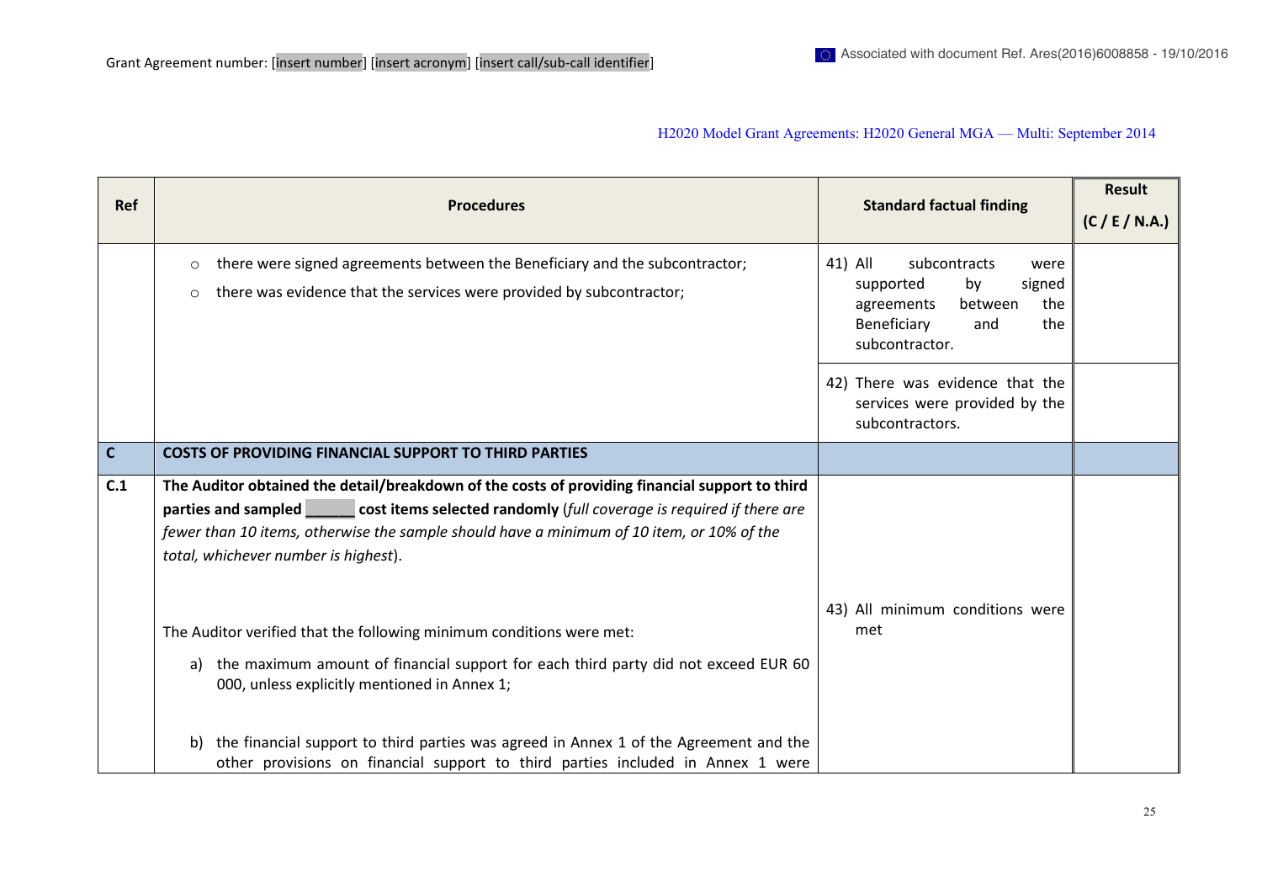| <b>Ref</b>   | <b>Procedures</b>                                                                                                                                                                                                                                                                                                                                                                                  | <b>Standard factual finding</b>                                                                                                             | (C / E / N.A.) |
|--------------|----------------------------------------------------------------------------------------------------------------------------------------------------------------------------------------------------------------------------------------------------------------------------------------------------------------------------------------------------------------------------------------------------|---------------------------------------------------------------------------------------------------------------------------------------------|----------------|
|              | there were signed agreements between the Beneficiary and the subcontractor;<br>$\circ$<br>there was evidence that the services were provided by subcontractor;<br>$\circ$                                                                                                                                                                                                                          | 41) All<br>subcontracts<br>were<br>supported<br>signed<br>by<br>the<br>agreements<br>between<br>Beneficiary<br>the<br>and<br>subcontractor. |                |
|              |                                                                                                                                                                                                                                                                                                                                                                                                    | 42) There was evidence that the<br>services were provided by the<br>subcontractors.                                                         |                |
| $\mathbf{C}$ | <b>COSTS OF PROVIDING FINANCIAL SUPPORT TO THIRD PARTIES</b>                                                                                                                                                                                                                                                                                                                                       |                                                                                                                                             |                |
| C.1          | The Auditor obtained the detail/breakdown of the costs of providing financial support to third<br>parties and sampled cost items selected randomly (full coverage is required if there are<br>fewer than 10 items, otherwise the sample should have a minimum of 10 item, or 10% of the<br>total, whichever number is highest).                                                                    |                                                                                                                                             |                |
|              | The Auditor verified that the following minimum conditions were met:<br>the maximum amount of financial support for each third party did not exceed EUR 60<br>a)<br>000, unless explicitly mentioned in Annex 1;<br>the financial support to third parties was agreed in Annex 1 of the Agreement and the<br>b)<br>other provisions on financial support to third parties included in Annex 1 were | 43) All minimum conditions were<br>met                                                                                                      |                |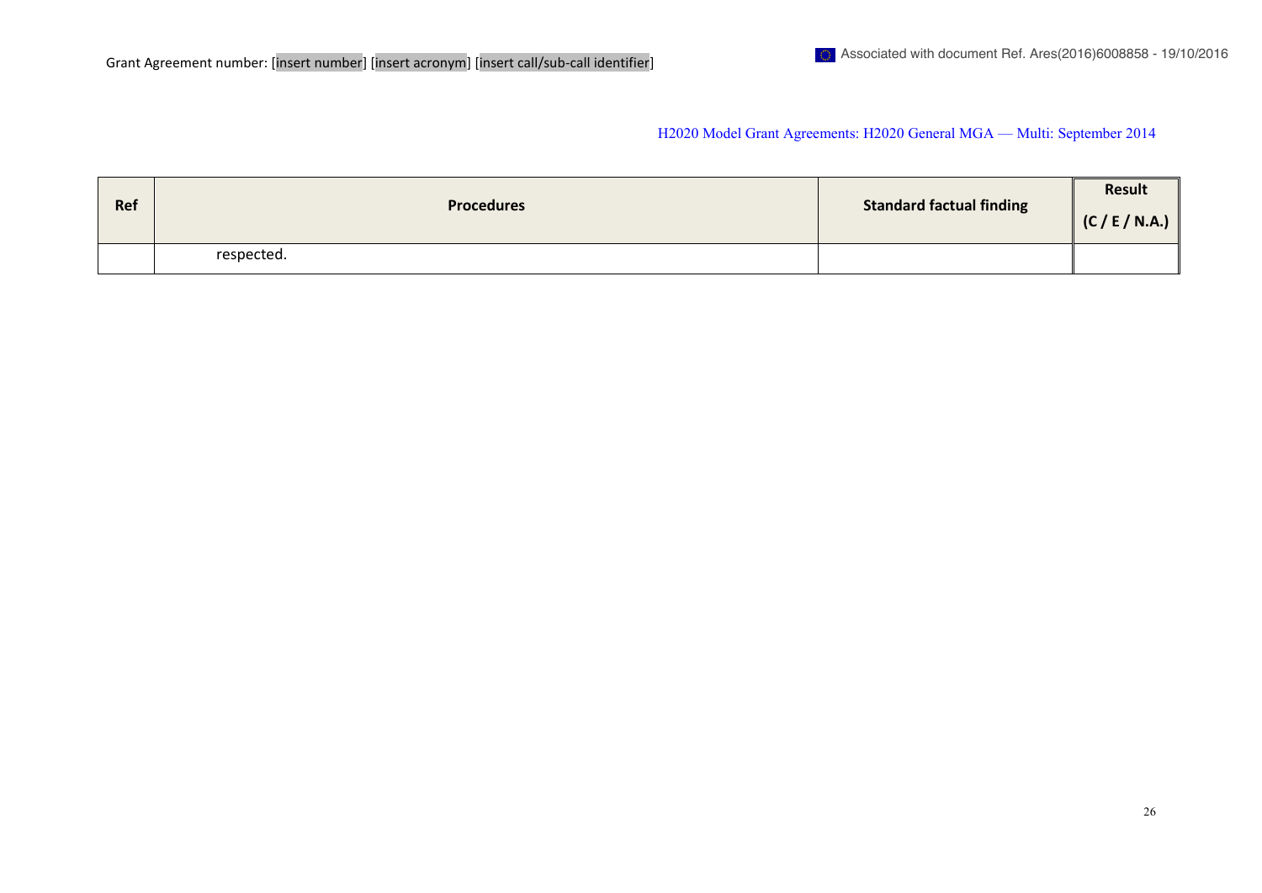| Ref | <b>Procedures</b> | Standard factual finding | <b>Result</b><br>(C / E / N.A.) |
|-----|-------------------|--------------------------|---------------------------------|
|     | respected.        |                          |                                 |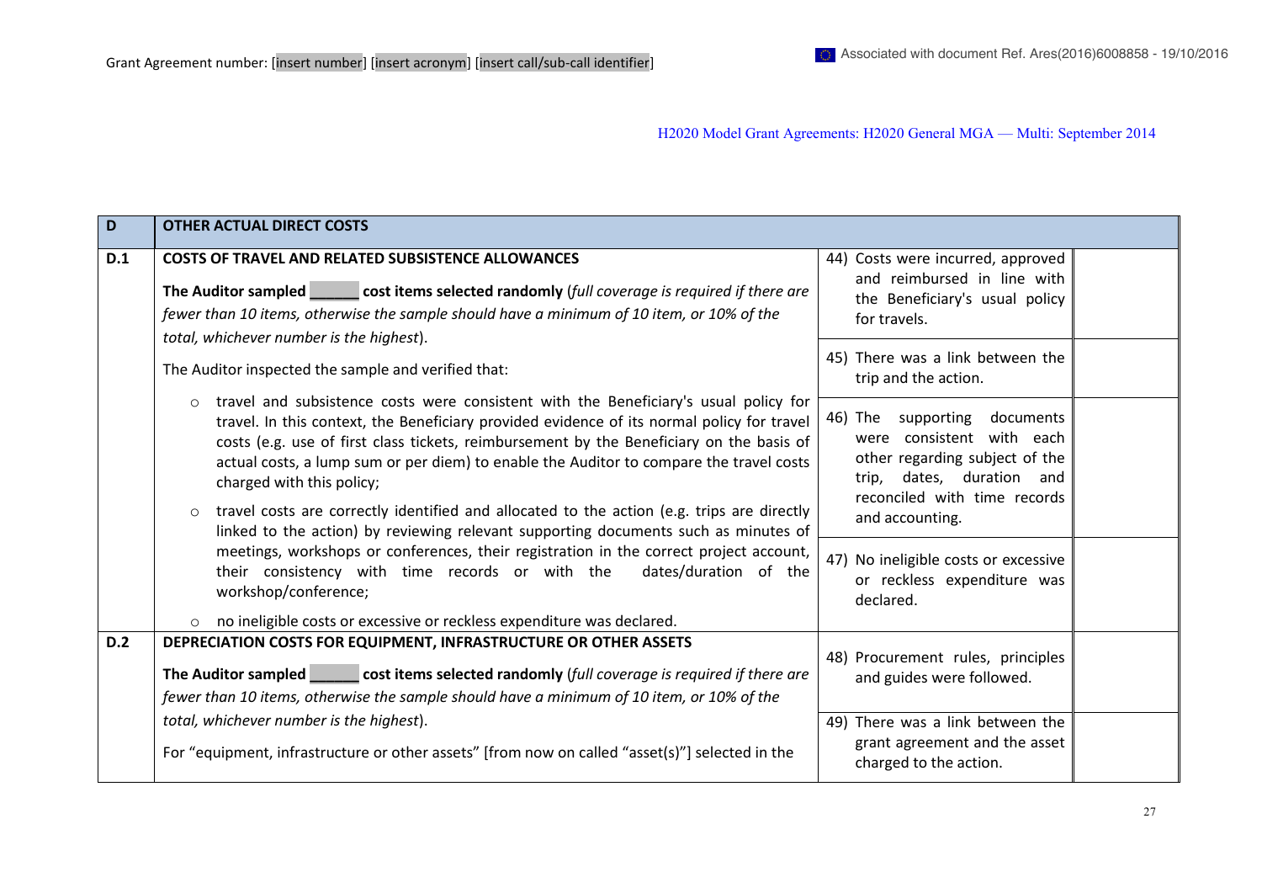| D   | <b>OTHER ACTUAL DIRECT COSTS</b>                                                                                                                                                                                                                                                                                                                                                                                                                                                |                                                                                                                                                                |
|-----|---------------------------------------------------------------------------------------------------------------------------------------------------------------------------------------------------------------------------------------------------------------------------------------------------------------------------------------------------------------------------------------------------------------------------------------------------------------------------------|----------------------------------------------------------------------------------------------------------------------------------------------------------------|
| D.1 | <b>COSTS OF TRAVEL AND RELATED SUBSISTENCE ALLOWANCES</b>                                                                                                                                                                                                                                                                                                                                                                                                                       | 44) Costs were incurred, approved                                                                                                                              |
|     | The Auditor sampled cost items selected randomly (full coverage is required if there are<br>fewer than 10 items, otherwise the sample should have a minimum of 10 item, or 10% of the<br>total, whichever number is the highest).                                                                                                                                                                                                                                               | and reimbursed in line with<br>the Beneficiary's usual policy<br>for travels.                                                                                  |
|     | The Auditor inspected the sample and verified that:                                                                                                                                                                                                                                                                                                                                                                                                                             | 45) There was a link between the<br>trip and the action.                                                                                                       |
|     | $\circ$ travel and subsistence costs were consistent with the Beneficiary's usual policy for<br>travel. In this context, the Beneficiary provided evidence of its normal policy for travel<br>costs (e.g. use of first class tickets, reimbursement by the Beneficiary on the basis of<br>actual costs, a lump sum or per diem) to enable the Auditor to compare the travel costs<br>charged with this policy;                                                                  | 46) The<br>supporting<br>documents<br>were consistent with each<br>other regarding subject of the<br>trip, dates, duration and<br>reconciled with time records |
|     | travel costs are correctly identified and allocated to the action (e.g. trips are directly<br>$\circ$<br>linked to the action) by reviewing relevant supporting documents such as minutes of<br>meetings, workshops or conferences, their registration in the correct project account,<br>their consistency with time records or with the<br>dates/duration of the<br>workshop/conference;<br>no ineligible costs or excessive or reckless expenditure was declared.<br>$\circ$ | and accounting.<br>47) No ineligible costs or excessive<br>or reckless expenditure was<br>declared.                                                            |
| D.2 | DEPRECIATION COSTS FOR EQUIPMENT, INFRASTRUCTURE OR OTHER ASSETS                                                                                                                                                                                                                                                                                                                                                                                                                |                                                                                                                                                                |
|     | The Auditor sampled cost items selected randomly (full coverage is required if there are<br>fewer than 10 items, otherwise the sample should have a minimum of 10 item, or 10% of the                                                                                                                                                                                                                                                                                           | 48) Procurement rules, principles<br>and guides were followed.                                                                                                 |
|     | total, whichever number is the highest).                                                                                                                                                                                                                                                                                                                                                                                                                                        | 49) There was a link between the                                                                                                                               |
|     | For "equipment, infrastructure or other assets" [from now on called "asset(s)"] selected in the                                                                                                                                                                                                                                                                                                                                                                                 | grant agreement and the asset<br>charged to the action.                                                                                                        |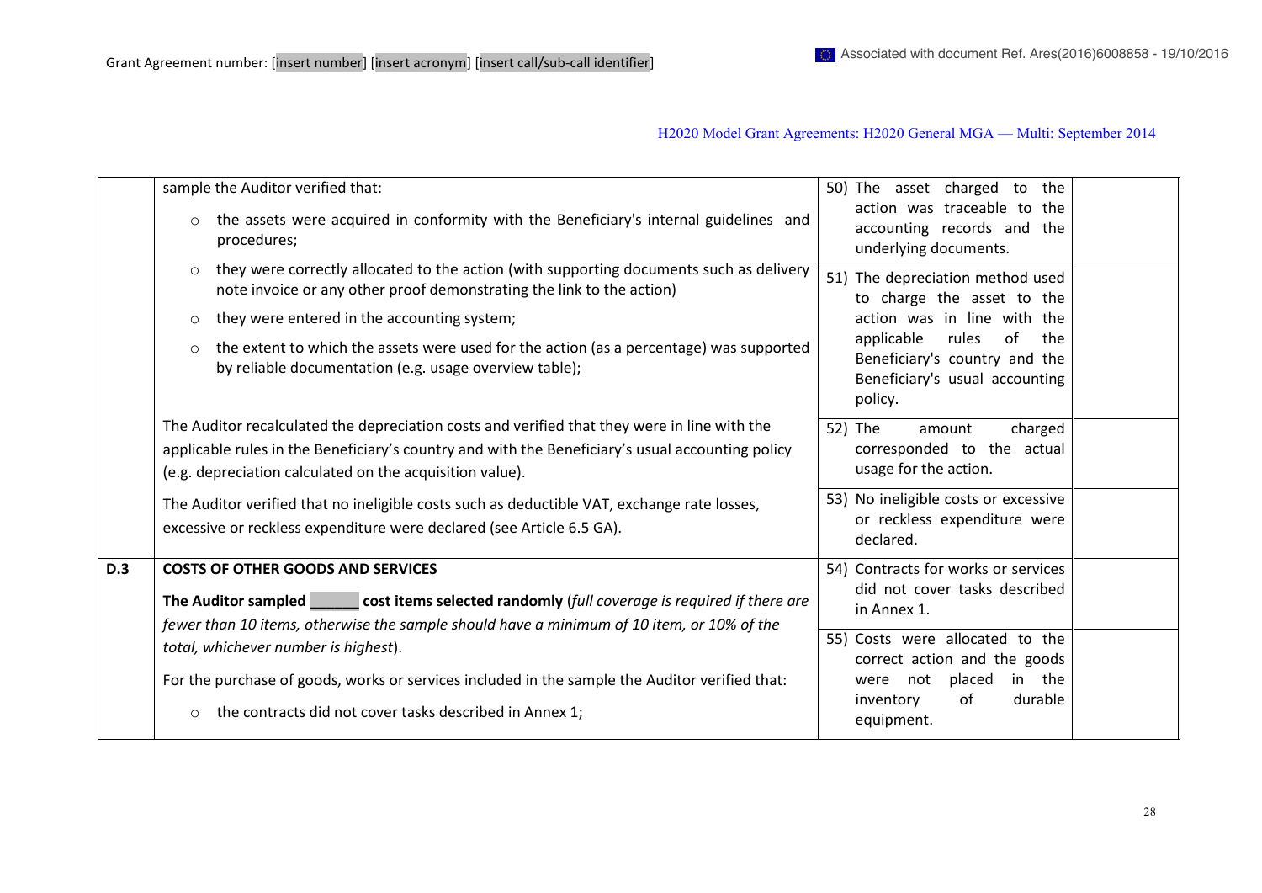|            |         | sample the Auditor verified that:                                                                                                                                                                                                                            | 50) The asset charged to the<br>action was traceable to the                                                    |  |
|------------|---------|--------------------------------------------------------------------------------------------------------------------------------------------------------------------------------------------------------------------------------------------------------------|----------------------------------------------------------------------------------------------------------------|--|
|            | $\circ$ | the assets were acquired in conformity with the Beneficiary's internal guidelines and<br>procedures;                                                                                                                                                         | accounting records and the<br>underlying documents.                                                            |  |
|            | $\circ$ | they were correctly allocated to the action (with supporting documents such as delivery<br>note invoice or any other proof demonstrating the link to the action)                                                                                             | 51) The depreciation method used<br>to charge the asset to the                                                 |  |
|            | $\circ$ | they were entered in the accounting system;                                                                                                                                                                                                                  | action was in line with the                                                                                    |  |
|            | $\circ$ | the extent to which the assets were used for the action (as a percentage) was supported<br>by reliable documentation (e.g. usage overview table);                                                                                                            | applicable<br>rules<br>of<br>the<br>Beneficiary's country and the<br>Beneficiary's usual accounting<br>policy. |  |
|            |         | The Auditor recalculated the depreciation costs and verified that they were in line with the<br>applicable rules in the Beneficiary's country and with the Beneficiary's usual accounting policy<br>(e.g. depreciation calculated on the acquisition value). | 52) The<br>charged<br>amount<br>corresponded to the actual<br>usage for the action.                            |  |
|            |         | The Auditor verified that no ineligible costs such as deductible VAT, exchange rate losses,<br>excessive or reckless expenditure were declared (see Article 6.5 GA).                                                                                         | 53) No ineligible costs or excessive<br>or reckless expenditure were<br>declared.                              |  |
| <b>D.3</b> |         | <b>COSTS OF OTHER GOODS AND SERVICES</b>                                                                                                                                                                                                                     | 54) Contracts for works or services                                                                            |  |
|            |         | The Auditor sampled _______ cost items selected randomly (full coverage is required if there are<br>fewer than 10 items, otherwise the sample should have a minimum of 10 item, or 10% of the                                                                | did not cover tasks described<br>in Annex 1.                                                                   |  |
|            |         | total, whichever number is highest).                                                                                                                                                                                                                         | 55) Costs were allocated to the<br>correct action and the goods                                                |  |
|            | $\circ$ | For the purchase of goods, works or services included in the sample the Auditor verified that:<br>the contracts did not cover tasks described in Annex 1;                                                                                                    | not<br>placed<br>in the<br>were<br>of<br>durable<br>inventory                                                  |  |
|            |         | equipment.                                                                                                                                                                                                                                                   |                                                                                                                |  |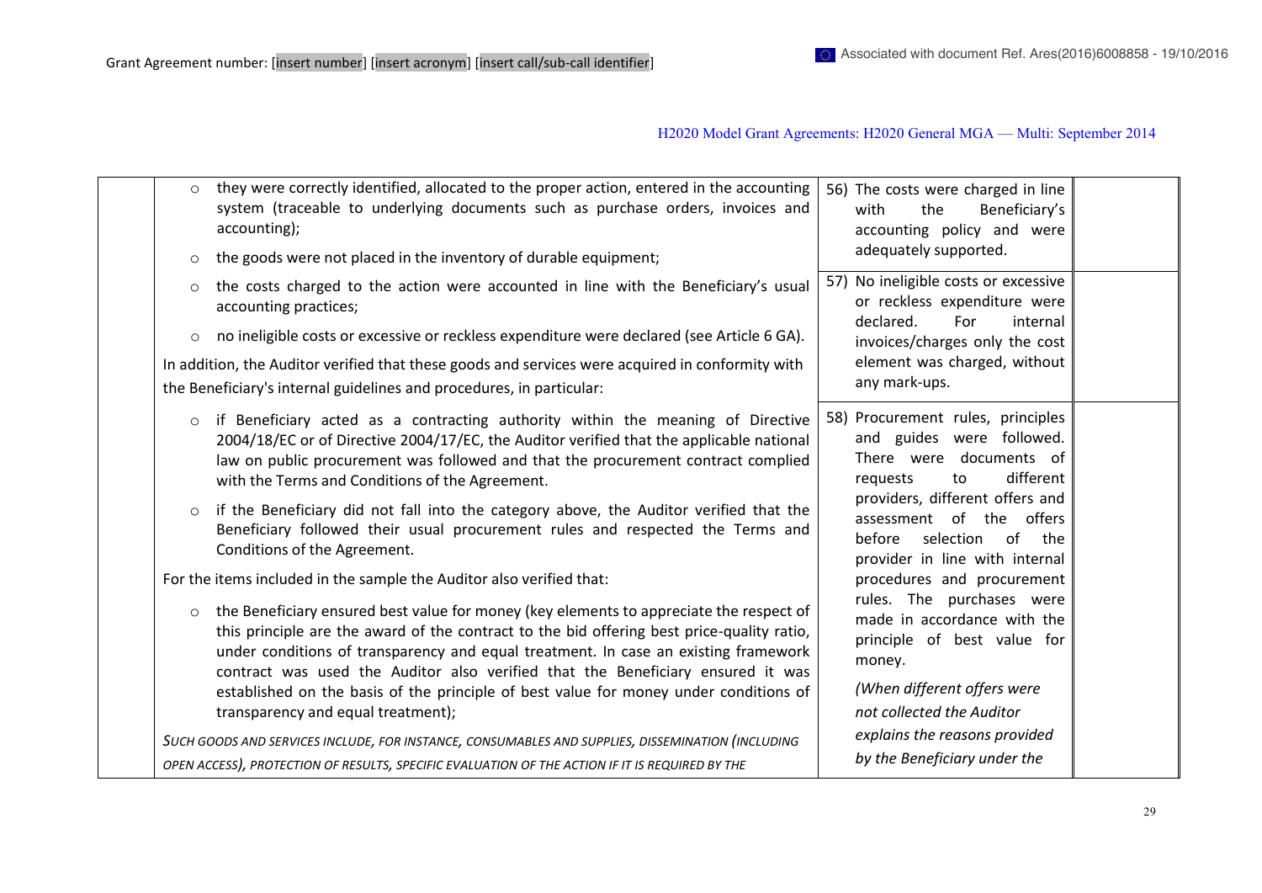| $\circ$<br>$\circ$ | they were correctly identified, allocated to the proper action, entered in the accounting<br>system (traceable to underlying documents such as purchase orders, invoices and<br>accounting);<br>the goods were not placed in the inventory of durable equipment;                                                                                                                                                                                                                                                                                                       | 56) The costs were charged in line<br>Beneficiary's<br>the<br>with<br>accounting policy and were<br>adequately supported.                                                                   |  |
|--------------------|------------------------------------------------------------------------------------------------------------------------------------------------------------------------------------------------------------------------------------------------------------------------------------------------------------------------------------------------------------------------------------------------------------------------------------------------------------------------------------------------------------------------------------------------------------------------|---------------------------------------------------------------------------------------------------------------------------------------------------------------------------------------------|--|
| $\circ$<br>$\circ$ | the costs charged to the action were accounted in line with the Beneficiary's usual<br>accounting practices;<br>no ineligible costs or excessive or reckless expenditure were declared (see Article 6 GA).<br>In addition, the Auditor verified that these goods and services were acquired in conformity with<br>the Beneficiary's internal guidelines and procedures, in particular:                                                                                                                                                                                 | 57) No ineligible costs or excessive<br>or reckless expenditure were<br>declared.<br>For<br>internal<br>invoices/charges only the cost<br>element was charged, without<br>any mark-ups.     |  |
| $\circ$            | if Beneficiary acted as a contracting authority within the meaning of Directive<br>2004/18/EC or of Directive 2004/17/EC, the Auditor verified that the applicable national<br>law on public procurement was followed and that the procurement contract complied<br>with the Terms and Conditions of the Agreement.                                                                                                                                                                                                                                                    | 58) Procurement rules, principles<br>and guides were followed.<br>There were documents of<br>different<br>requests<br>to                                                                    |  |
| $\circ$            | if the Beneficiary did not fall into the category above, the Auditor verified that the<br>Beneficiary followed their usual procurement rules and respected the Terms and<br>Conditions of the Agreement.                                                                                                                                                                                                                                                                                                                                                               | providers, different offers and<br>assessment of the offers<br>selection of the<br>before<br>provider in line with internal                                                                 |  |
| $\circ$            | For the items included in the sample the Auditor also verified that:<br>the Beneficiary ensured best value for money (key elements to appreciate the respect of<br>this principle are the award of the contract to the bid offering best price-quality ratio,<br>under conditions of transparency and equal treatment. In case an existing framework<br>contract was used the Auditor also verified that the Beneficiary ensured it was<br>established on the basis of the principle of best value for money under conditions of<br>transparency and equal treatment); | procedures and procurement<br>rules. The purchases were<br>made in accordance with the<br>principle of best value for<br>money.<br>(When different offers were<br>not collected the Auditor |  |
|                    | SUCH GOODS AND SERVICES INCLUDE, FOR INSTANCE, CONSUMABLES AND SUPPLIES, DISSEMINATION (INCLUDING<br>OPEN ACCESS), PROTECTION OF RESULTS, SPECIFIC EVALUATION OF THE ACTION IF IT IS REQUIRED BY THE                                                                                                                                                                                                                                                                                                                                                                   | explains the reasons provided<br>by the Beneficiary under the                                                                                                                               |  |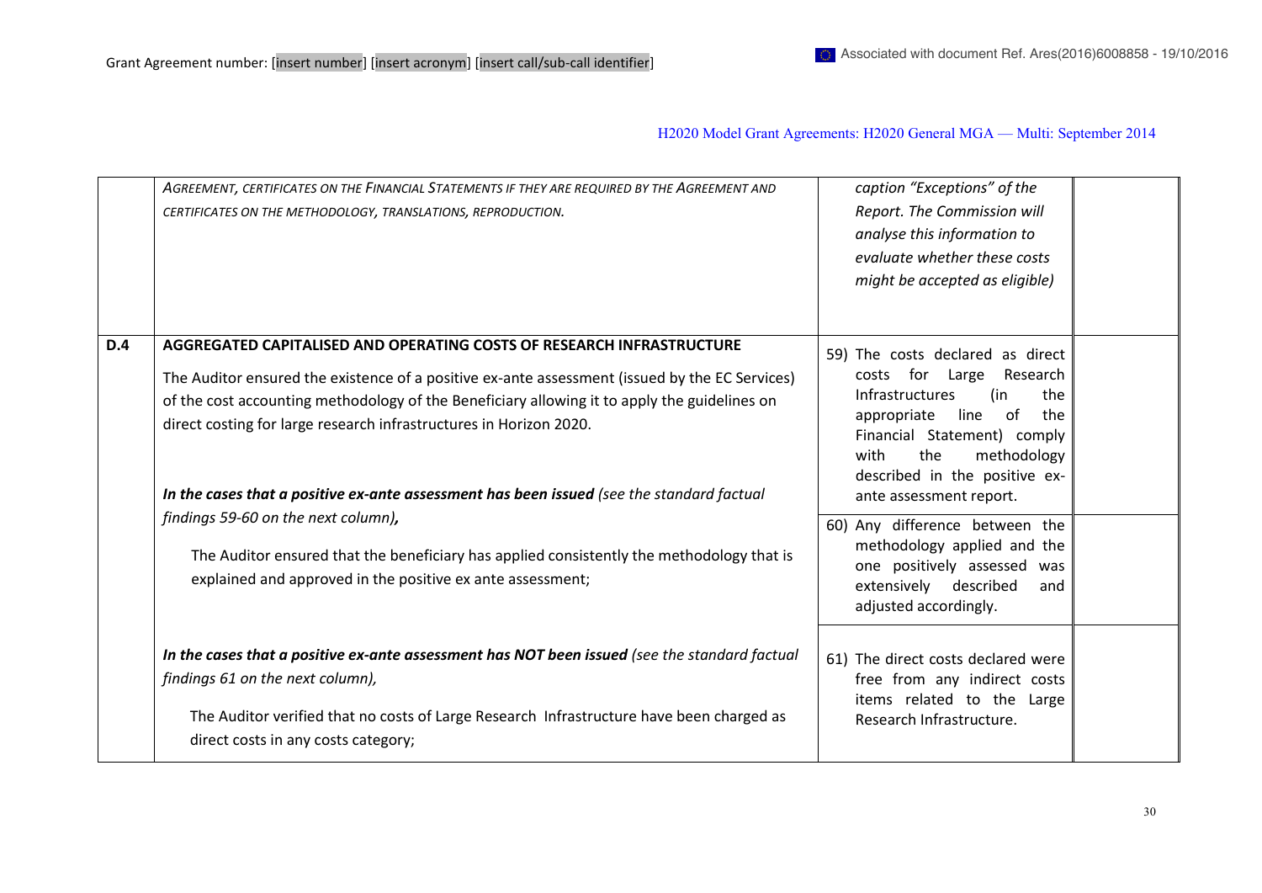|            | AGREEMENT, CERTIFICATES ON THE FINANCIAL STATEMENTS IF THEY ARE REQUIRED BY THE AGREEMENT AND<br>CERTIFICATES ON THE METHODOLOGY, TRANSLATIONS, REPRODUCTION.                                                                                                                                                                                                                                                                              | caption "Exceptions" of the<br>Report. The Commission will<br>analyse this information to<br>evaluate whether these costs<br>might be accepted as eligible)                                                                                                          |  |
|------------|--------------------------------------------------------------------------------------------------------------------------------------------------------------------------------------------------------------------------------------------------------------------------------------------------------------------------------------------------------------------------------------------------------------------------------------------|----------------------------------------------------------------------------------------------------------------------------------------------------------------------------------------------------------------------------------------------------------------------|--|
| <b>D.4</b> | AGGREGATED CAPITALISED AND OPERATING COSTS OF RESEARCH INFRASTRUCTURE<br>The Auditor ensured the existence of a positive ex-ante assessment (issued by the EC Services)<br>of the cost accounting methodology of the Beneficiary allowing it to apply the guidelines on<br>direct costing for large research infrastructures in Horizon 2020.<br>In the cases that a positive ex-ante assessment has been issued (see the standard factual | 59) The costs declared as direct<br>costs for Large<br>Research<br><b>Infrastructures</b><br>(in<br>the<br>line<br>of<br>appropriate<br>the<br>Financial Statement) comply<br>the<br>methodology<br>with<br>described in the positive ex-<br>ante assessment report. |  |
|            | findings 59-60 on the next column),<br>The Auditor ensured that the beneficiary has applied consistently the methodology that is<br>explained and approved in the positive ex ante assessment;                                                                                                                                                                                                                                             | 60) Any difference between the<br>methodology applied and the<br>one positively assessed was<br>described<br>extensively<br>and<br>adjusted accordingly.                                                                                                             |  |
|            | In the cases that a positive ex-ante assessment has NOT been issued (see the standard factual<br>findings 61 on the next column),<br>The Auditor verified that no costs of Large Research Infrastructure have been charged as<br>direct costs in any costs category;                                                                                                                                                                       | 61) The direct costs declared were<br>free from any indirect costs<br>items related to the Large<br>Research Infrastructure.                                                                                                                                         |  |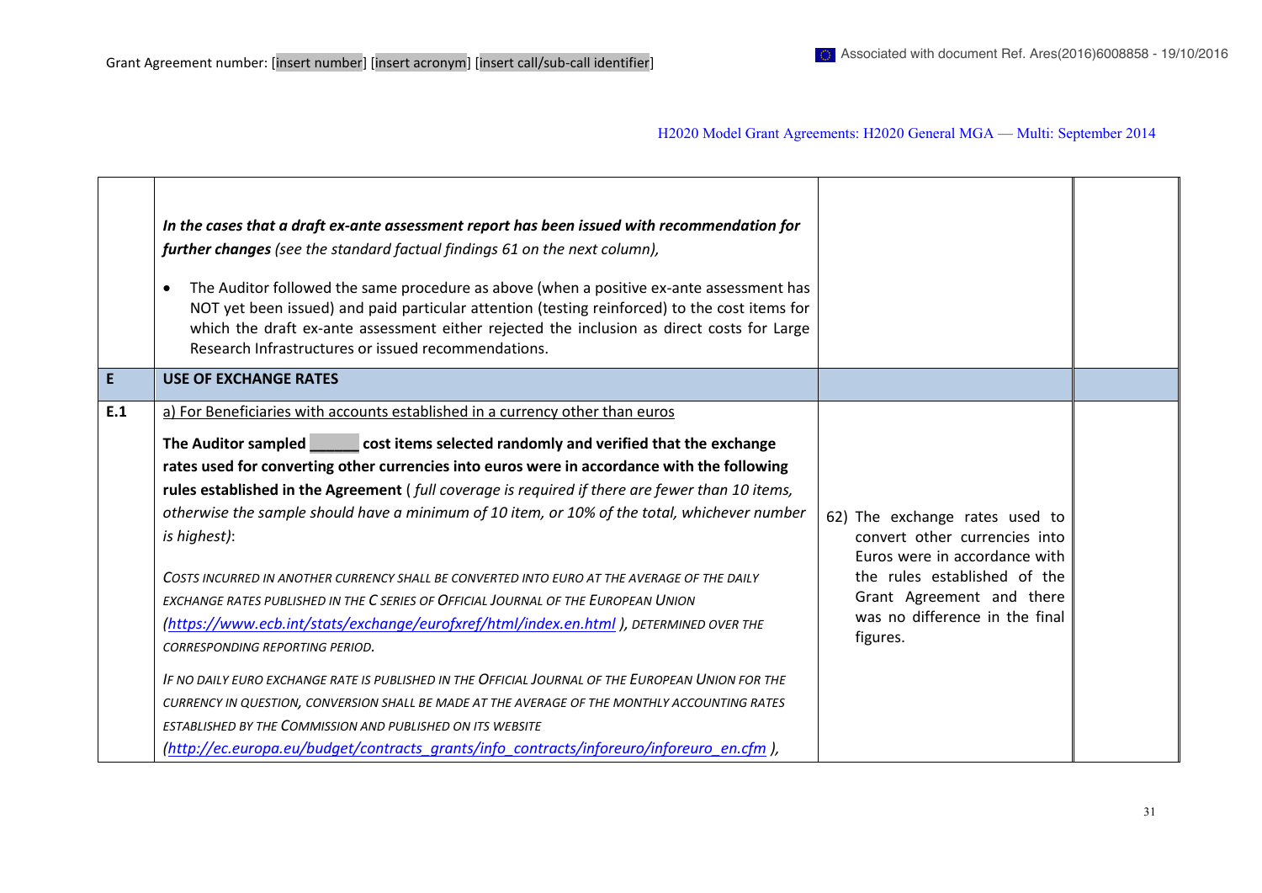|     | In the cases that a draft ex-ante assessment report has been issued with recommendation for<br>further changes (see the standard factual findings 61 on the next column),<br>The Auditor followed the same procedure as above (when a positive ex-ante assessment has<br>NOT yet been issued) and paid particular attention (testing reinforced) to the cost items for<br>which the draft ex-ante assessment either rejected the inclusion as direct costs for Large<br>Research Infrastructures or issued recommendations.                                                       |                                                                                                                                                               |  |
|-----|-----------------------------------------------------------------------------------------------------------------------------------------------------------------------------------------------------------------------------------------------------------------------------------------------------------------------------------------------------------------------------------------------------------------------------------------------------------------------------------------------------------------------------------------------------------------------------------|---------------------------------------------------------------------------------------------------------------------------------------------------------------|--|
| E.  | <b>USE OF EXCHANGE RATES</b>                                                                                                                                                                                                                                                                                                                                                                                                                                                                                                                                                      |                                                                                                                                                               |  |
| E.1 | a) For Beneficiaries with accounts established in a currency other than euros<br>The Auditor sampled cost items selected randomly and verified that the exchange<br>rates used for converting other currencies into euros were in accordance with the following<br>rules established in the Agreement (full coverage is required if there are fewer than 10 items,<br>otherwise the sample should have a minimum of 10 item, or 10% of the total, whichever number<br>is highest):<br>COSTS INCURRED IN ANOTHER CURRENCY SHALL BE CONVERTED INTO EURO AT THE AVERAGE OF THE DAILY | 62) The exchange rates used to<br>convert other currencies into<br>Euros were in accordance with<br>the rules established of the<br>Grant Agreement and there |  |
|     | EXCHANGE RATES PUBLISHED IN THE C SERIES OF OFFICIAL JOURNAL OF THE EUROPEAN UNION<br>(https://www.ecb.int/stats/exchange/eurofxref/html/index.en.html), DETERMINED OVER THE<br>CORRESPONDING REPORTING PERIOD.<br>IF NO DAILY EURO EXCHANGE RATE IS PUBLISHED IN THE OFFICIAL JOURNAL OF THE EUROPEAN UNION FOR THE<br>CURRENCY IN QUESTION, CONVERSION SHALL BE MADE AT THE AVERAGE OF THE MONTHLY ACCOUNTING RATES<br>ESTABLISHED BY THE COMMISSION AND PUBLISHED ON ITS WEBSITE                                                                                               | was no difference in the final<br>figures.                                                                                                                    |  |
|     | (http://ec.europa.eu/budget/contracts_grants/info_contracts/inforeuro/inforeuro_en.cfm),                                                                                                                                                                                                                                                                                                                                                                                                                                                                                          |                                                                                                                                                               |  |